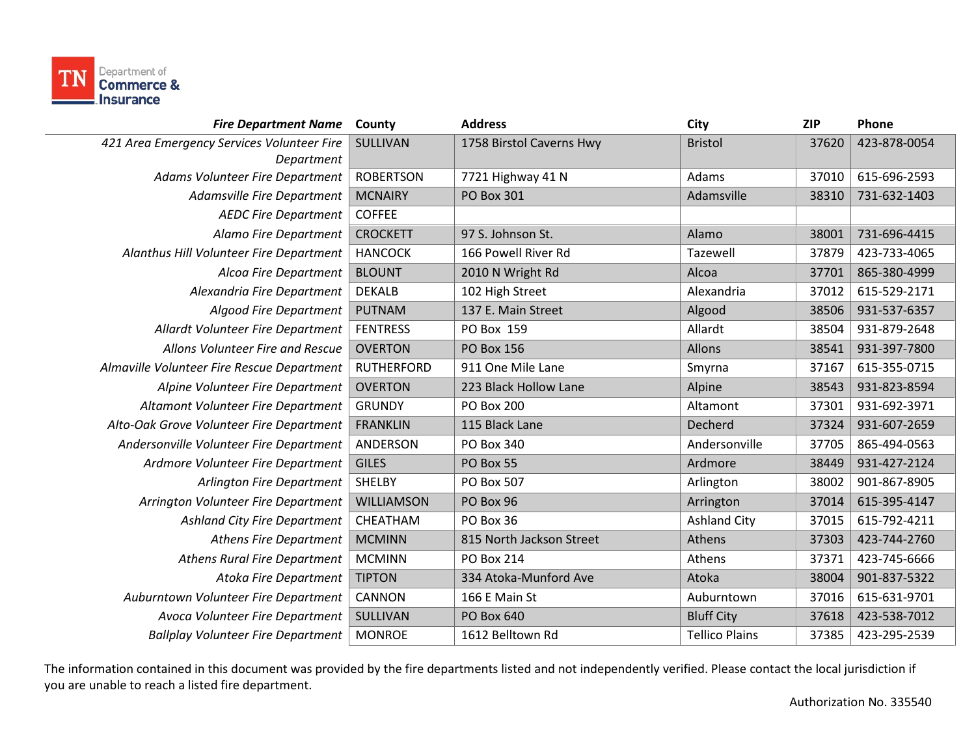

| County            | <b>Address</b>           | City                  | <b>ZIP</b> | Phone        |
|-------------------|--------------------------|-----------------------|------------|--------------|
| <b>SULLIVAN</b>   | 1758 Birstol Caverns Hwy | <b>Bristol</b>        | 37620      | 423-878-0054 |
|                   |                          |                       |            |              |
|                   |                          |                       | 37010      | 615-696-2593 |
| <b>MCNAIRY</b>    | <b>PO Box 301</b>        | Adamsville            | 38310      | 731-632-1403 |
| <b>COFFEE</b>     |                          |                       |            |              |
| <b>CROCKETT</b>   | 97 S. Johnson St.        | Alamo                 | 38001      | 731-696-4415 |
| <b>HANCOCK</b>    | 166 Powell River Rd      | Tazewell              | 37879      | 423-733-4065 |
| <b>BLOUNT</b>     | 2010 N Wright Rd         | Alcoa                 | 37701      | 865-380-4999 |
| <b>DEKALB</b>     | 102 High Street          | Alexandria            | 37012      | 615-529-2171 |
| <b>PUTNAM</b>     | 137 E. Main Street       | Algood                | 38506      | 931-537-6357 |
| <b>FENTRESS</b>   | PO Box 159               | Allardt               | 38504      | 931-879-2648 |
| <b>OVERTON</b>    | <b>PO Box 156</b>        | Allons                | 38541      | 931-397-7800 |
| <b>RUTHERFORD</b> | 911 One Mile Lane        | Smyrna                | 37167      | 615-355-0715 |
| <b>OVERTON</b>    | 223 Black Hollow Lane    | Alpine                | 38543      | 931-823-8594 |
| <b>GRUNDY</b>     | <b>PO Box 200</b>        | Altamont              | 37301      | 931-692-3971 |
| <b>FRANKLIN</b>   | 115 Black Lane           | Decherd               | 37324      | 931-607-2659 |
| ANDERSON          | PO Box 340               | Andersonville         | 37705      | 865-494-0563 |
| <b>GILES</b>      | PO Box 55                | Ardmore               | 38449      | 931-427-2124 |
| SHELBY            | PO Box 507               | Arlington             | 38002      | 901-867-8905 |
| WILLIAMSON        | PO Box 96                | Arrington             | 37014      | 615-395-4147 |
| CHEATHAM          | PO Box 36                | <b>Ashland City</b>   | 37015      | 615-792-4211 |
| <b>MCMINN</b>     | 815 North Jackson Street | Athens                | 37303      | 423-744-2760 |
| <b>MCMINN</b>     | <b>PO Box 214</b>        | Athens                | 37371      | 423-745-6666 |
| <b>TIPTON</b>     | 334 Atoka-Munford Ave    | Atoka                 | 38004      | 901-837-5322 |
| CANNON            | 166 E Main St            | Auburntown            | 37016      | 615-631-9701 |
| SULLIVAN          | PO Box 640               | <b>Bluff City</b>     | 37618      | 423-538-7012 |
| <b>MONROE</b>     | 1612 Belltown Rd         | <b>Tellico Plains</b> | 37385      | 423-295-2539 |
|                   | <b>ROBERTSON</b>         | 7721 Highway 41 N     | Adams      |              |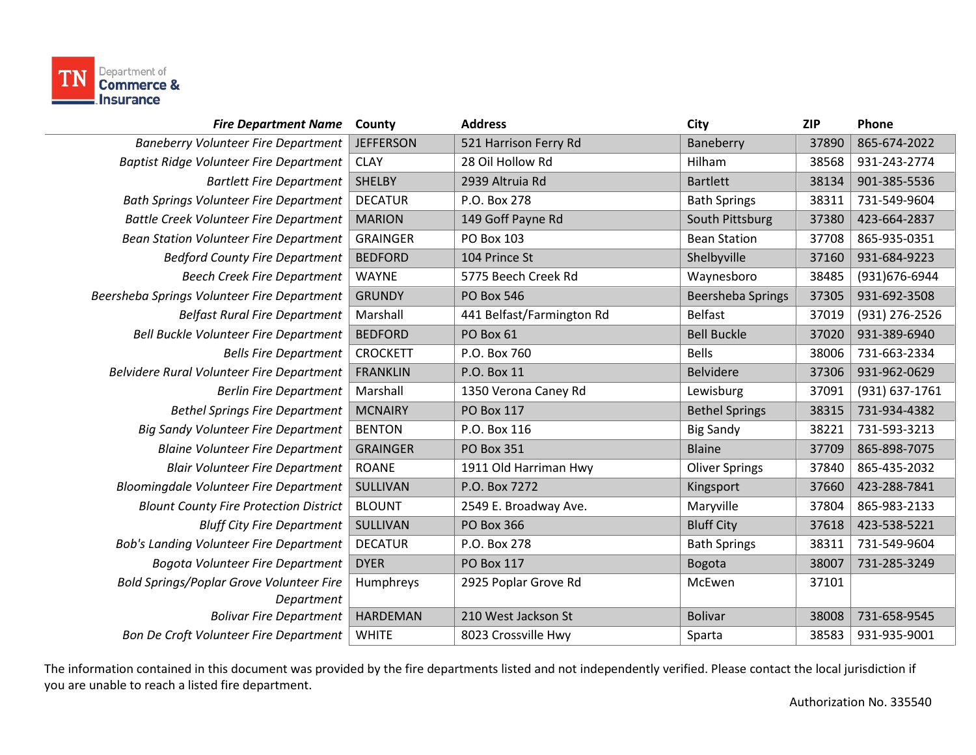

| <b>Fire Department Name</b>                    | County           | <b>Address</b>            | City                     | <b>ZIP</b> | Phone          |
|------------------------------------------------|------------------|---------------------------|--------------------------|------------|----------------|
| <b>Baneberry Volunteer Fire Department</b>     | <b>JEFFERSON</b> | 521 Harrison Ferry Rd     | Baneberry                | 37890      | 865-674-2022   |
| <b>Baptist Ridge Volunteer Fire Department</b> | <b>CLAY</b>      | 28 Oil Hollow Rd          | Hilham                   | 38568      | 931-243-2774   |
| <b>Bartlett Fire Department</b>                | <b>SHELBY</b>    | 2939 Altruia Rd           | <b>Bartlett</b>          | 38134      | 901-385-5536   |
| <b>Bath Springs Volunteer Fire Department</b>  | <b>DECATUR</b>   | P.O. Box 278              | <b>Bath Springs</b>      | 38311      | 731-549-9604   |
| <b>Battle Creek Volunteer Fire Department</b>  | <b>MARION</b>    | 149 Goff Payne Rd         | South Pittsburg          | 37380      | 423-664-2837   |
| Bean Station Volunteer Fire Department         | <b>GRAINGER</b>  | PO Box 103                | <b>Bean Station</b>      | 37708      | 865-935-0351   |
| <b>Bedford County Fire Department</b>          | <b>BEDFORD</b>   | 104 Prince St             | Shelbyville              | 37160      | 931-684-9223   |
| <b>Beech Creek Fire Department</b>             | <b>WAYNE</b>     | 5775 Beech Creek Rd       | Waynesboro               | 38485      | (931)676-6944  |
| Beersheba Springs Volunteer Fire Department    | <b>GRUNDY</b>    | <b>PO Box 546</b>         | <b>Beersheba Springs</b> | 37305      | 931-692-3508   |
| <b>Belfast Rural Fire Department</b>           | Marshall         | 441 Belfast/Farmington Rd | <b>Belfast</b>           | 37019      | (931) 276-2526 |
| Bell Buckle Volunteer Fire Department          | <b>BEDFORD</b>   | PO Box 61                 | <b>Bell Buckle</b>       | 37020      | 931-389-6940   |
| <b>Bells Fire Department</b>                   | <b>CROCKETT</b>  | P.O. Box 760              | <b>Bells</b>             | 38006      | 731-663-2334   |
| Belvidere Rural Volunteer Fire Department      | <b>FRANKLIN</b>  | P.O. Box 11               | <b>Belvidere</b>         | 37306      | 931-962-0629   |
| <b>Berlin Fire Department</b>                  | Marshall         | 1350 Verona Caney Rd      | Lewisburg                | 37091      | (931) 637-1761 |
| <b>Bethel Springs Fire Department</b>          | <b>MCNAIRY</b>   | PO Box 117                | <b>Bethel Springs</b>    | 38315      | 731-934-4382   |
| <b>Big Sandy Volunteer Fire Department</b>     | <b>BENTON</b>    | P.O. Box 116              | <b>Big Sandy</b>         | 38221      | 731-593-3213   |
| <b>Blaine Volunteer Fire Department</b>        | <b>GRAINGER</b>  | <b>PO Box 351</b>         | <b>Blaine</b>            | 37709      | 865-898-7075   |
| <b>Blair Volunteer Fire Department</b>         | <b>ROANE</b>     | 1911 Old Harriman Hwy     | <b>Oliver Springs</b>    | 37840      | 865-435-2032   |
| <b>Bloomingdale Volunteer Fire Department</b>  | SULLIVAN         | P.O. Box 7272             | Kingsport                | 37660      | 423-288-7841   |
| <b>Blount County Fire Protection District</b>  | <b>BLOUNT</b>    | 2549 E. Broadway Ave.     | Maryville                | 37804      | 865-983-2133   |
| <b>Bluff City Fire Department</b>              | SULLIVAN         | <b>PO Box 366</b>         | <b>Bluff City</b>        | 37618      | 423-538-5221   |
| <b>Bob's Landing Volunteer Fire Department</b> | <b>DECATUR</b>   | P.O. Box 278              | <b>Bath Springs</b>      | 38311      | 731-549-9604   |
| Bogota Volunteer Fire Department               | <b>DYER</b>      | PO Box 117                | <b>Bogota</b>            | 38007      | 731-285-3249   |
| Bold Springs/Poplar Grove Volunteer Fire       | Humphreys        | 2925 Poplar Grove Rd      | McEwen                   | 37101      |                |
| Department                                     |                  |                           |                          |            |                |
| <b>Bolivar Fire Department</b>                 | <b>HARDEMAN</b>  | 210 West Jackson St       | <b>Bolivar</b>           | 38008      | 731-658-9545   |
| Bon De Croft Volunteer Fire Department         | <b>WHITE</b>     | 8023 Crossville Hwy       | Sparta                   | 38583      | 931-935-9001   |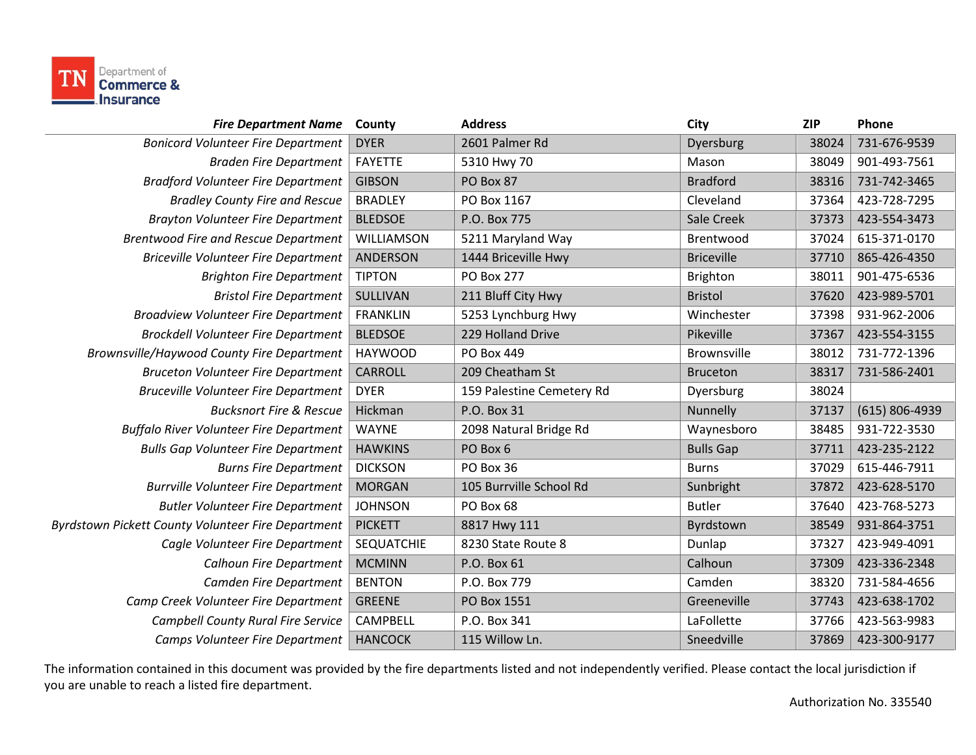

| County            | <b>Address</b>            | City              | <b>ZIP</b> | Phone          |
|-------------------|---------------------------|-------------------|------------|----------------|
| <b>DYER</b>       | 2601 Palmer Rd            | Dyersburg         | 38024      | 731-676-9539   |
| FAYETTE           | 5310 Hwy 70               | Mason             | 38049      | 901-493-7561   |
| <b>GIBSON</b>     | PO Box 87                 | <b>Bradford</b>   | 38316      | 731-742-3465   |
| <b>BRADLEY</b>    | PO Box 1167               | Cleveland         | 37364      | 423-728-7295   |
| <b>BLEDSOE</b>    | P.O. Box 775              | Sale Creek        | 37373      | 423-554-3473   |
| WILLIAMSON        | 5211 Maryland Way         | Brentwood         | 37024      | 615-371-0170   |
| <b>ANDERSON</b>   | 1444 Briceville Hwy       | <b>Briceville</b> | 37710      | 865-426-4350   |
| <b>TIPTON</b>     | <b>PO Box 277</b>         | Brighton          | 38011      | 901-475-6536   |
| SULLIVAN          | 211 Bluff City Hwy        | <b>Bristol</b>    | 37620      | 423-989-5701   |
| <b>FRANKLIN</b>   | 5253 Lynchburg Hwy        | Winchester        | 37398      | 931-962-2006   |
| <b>BLEDSOE</b>    | 229 Holland Drive         | Pikeville         | 37367      | 423-554-3155   |
| <b>HAYWOOD</b>    | <b>PO Box 449</b>         | Brownsville       | 38012      | 731-772-1396   |
| <b>CARROLL</b>    | 209 Cheatham St           | <b>Bruceton</b>   | 38317      | 731-586-2401   |
| <b>DYER</b>       | 159 Palestine Cemetery Rd | Dyersburg         | 38024      |                |
| Hickman           | P.O. Box 31               | Nunnelly          | 37137      | (615) 806-4939 |
| <b>WAYNE</b>      | 2098 Natural Bridge Rd    | Waynesboro        | 38485      | 931-722-3530   |
| <b>HAWKINS</b>    | PO Box 6                  | <b>Bulls Gap</b>  | 37711      | 423-235-2122   |
| <b>DICKSON</b>    | PO Box 36                 | <b>Burns</b>      | 37029      | 615-446-7911   |
| <b>MORGAN</b>     | 105 Burrville School Rd   | Sunbright         | 37872      | 423-628-5170   |
| <b>JOHNSON</b>    | PO Box 68                 | <b>Butler</b>     | 37640      | 423-768-5273   |
| <b>PICKETT</b>    | 8817 Hwy 111              | Byrdstown         | 38549      | 931-864-3751   |
| <b>SEQUATCHIE</b> | 8230 State Route 8        | Dunlap            | 37327      | 423-949-4091   |
| <b>MCMINN</b>     | P.O. Box 61               | Calhoun           | 37309      | 423-336-2348   |
| <b>BENTON</b>     | P.O. Box 779              | Camden            | 38320      | 731-584-4656   |
| <b>GREENE</b>     | PO Box 1551               | Greeneville       | 37743      | 423-638-1702   |
| CAMPBELL          | P.O. Box 341              | LaFollette        | 37766      | 423-563-9983   |
| <b>HANCOCK</b>    | 115 Willow Ln.            | Sneedville        | 37869      | 423-300-9177   |
|                   |                           |                   |            |                |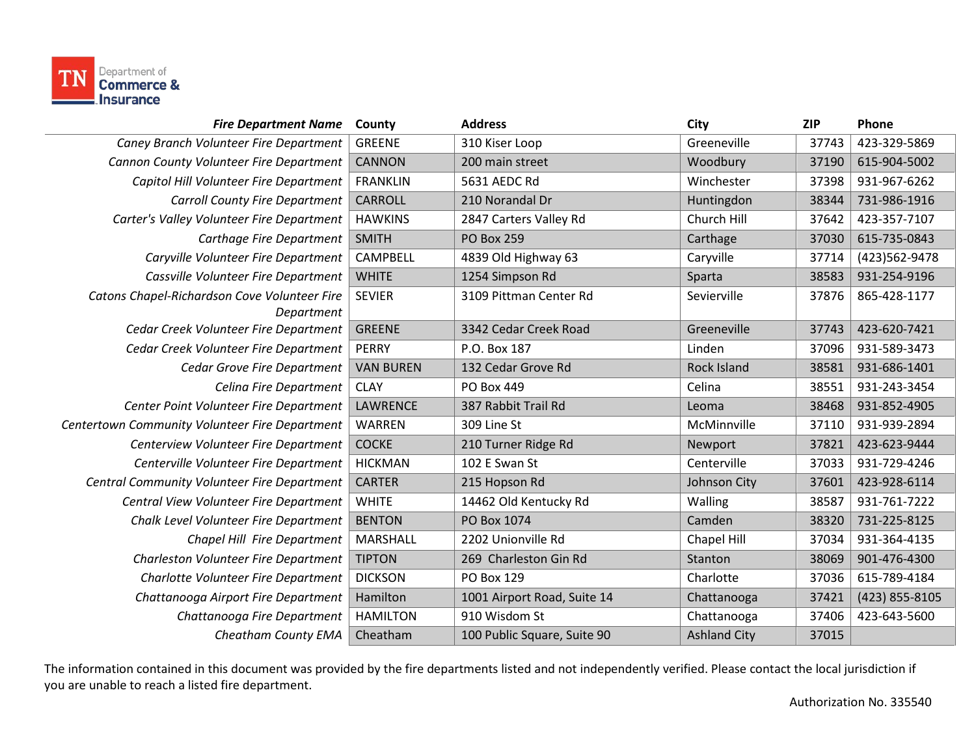

| <b>Fire Department Name</b>                    | County           | <b>Address</b>              | City                | <b>ZIP</b> | Phone          |
|------------------------------------------------|------------------|-----------------------------|---------------------|------------|----------------|
| Caney Branch Volunteer Fire Department         | <b>GREENE</b>    | 310 Kiser Loop              | Greeneville         | 37743      | 423-329-5869   |
| Cannon County Volunteer Fire Department        | <b>CANNON</b>    | 200 main street             | Woodbury            | 37190      | 615-904-5002   |
| Capitol Hill Volunteer Fire Department         | <b>FRANKLIN</b>  | 5631 AEDC Rd                | Winchester          | 37398      | 931-967-6262   |
| <b>Carroll County Fire Department</b>          | <b>CARROLL</b>   | 210 Norandal Dr             | Huntingdon          | 38344      | 731-986-1916   |
| Carter's Valley Volunteer Fire Department      | <b>HAWKINS</b>   | 2847 Carters Valley Rd      | Church Hill         | 37642      | 423-357-7107   |
| Carthage Fire Department                       | <b>SMITH</b>     | <b>PO Box 259</b>           | Carthage            | 37030      | 615-735-0843   |
| Caryville Volunteer Fire Department            | <b>CAMPBELL</b>  | 4839 Old Highway 63         | Caryville           | 37714      | (423) 562-9478 |
| Cassville Volunteer Fire Department            | <b>WHITE</b>     | 1254 Simpson Rd             | Sparta              | 38583      | 931-254-9196   |
| Catons Chapel-Richardson Cove Volunteer Fire   | <b>SEVIER</b>    | 3109 Pittman Center Rd      | Sevierville         | 37876      | 865-428-1177   |
| Department                                     |                  |                             |                     |            |                |
| Cedar Creek Volunteer Fire Department          | <b>GREENE</b>    | 3342 Cedar Creek Road       | Greeneville         | 37743      | 423-620-7421   |
| Cedar Creek Volunteer Fire Department          | <b>PERRY</b>     | P.O. Box 187                | Linden              | 37096      | 931-589-3473   |
| <b>Cedar Grove Fire Department</b>             | <b>VAN BUREN</b> | 132 Cedar Grove Rd          | <b>Rock Island</b>  | 38581      | 931-686-1401   |
| Celina Fire Department                         | <b>CLAY</b>      | PO Box 449                  | Celina              | 38551      | 931-243-3454   |
| Center Point Volunteer Fire Department         | LAWRENCE         | 387 Rabbit Trail Rd         | Leoma               | 38468      | 931-852-4905   |
| Centertown Community Volunteer Fire Department | <b>WARREN</b>    | 309 Line St                 | McMinnville         | 37110      | 931-939-2894   |
| Centerview Volunteer Fire Department           | <b>COCKE</b>     | 210 Turner Ridge Rd         | Newport             | 37821      | 423-623-9444   |
| Centerville Volunteer Fire Department          | <b>HICKMAN</b>   | 102 E Swan St               | Centerville         | 37033      | 931-729-4246   |
| Central Community Volunteer Fire Department    | <b>CARTER</b>    | 215 Hopson Rd               | Johnson City        | 37601      | 423-928-6114   |
| Central View Volunteer Fire Department         | <b>WHITE</b>     | 14462 Old Kentucky Rd       | Walling             | 38587      | 931-761-7222   |
| Chalk Level Volunteer Fire Department          | <b>BENTON</b>    | PO Box 1074                 | Camden              | 38320      | 731-225-8125   |
| Chapel Hill Fire Department                    | MARSHALL         | 2202 Unionville Rd          | Chapel Hill         | 37034      | 931-364-4135   |
| Charleston Volunteer Fire Department           | <b>TIPTON</b>    | 269 Charleston Gin Rd       | Stanton             | 38069      | 901-476-4300   |
| Charlotte Volunteer Fire Department            | <b>DICKSON</b>   | PO Box 129                  | Charlotte           | 37036      | 615-789-4184   |
| Chattanooga Airport Fire Department            | Hamilton         | 1001 Airport Road, Suite 14 | Chattanooga         | 37421      | (423) 855-8105 |
| Chattanooga Fire Department                    | <b>HAMILTON</b>  | 910 Wisdom St               | Chattanooga         | 37406      | 423-643-5600   |
| Cheatham County EMA                            | Cheatham         | 100 Public Square, Suite 90 | <b>Ashland City</b> | 37015      |                |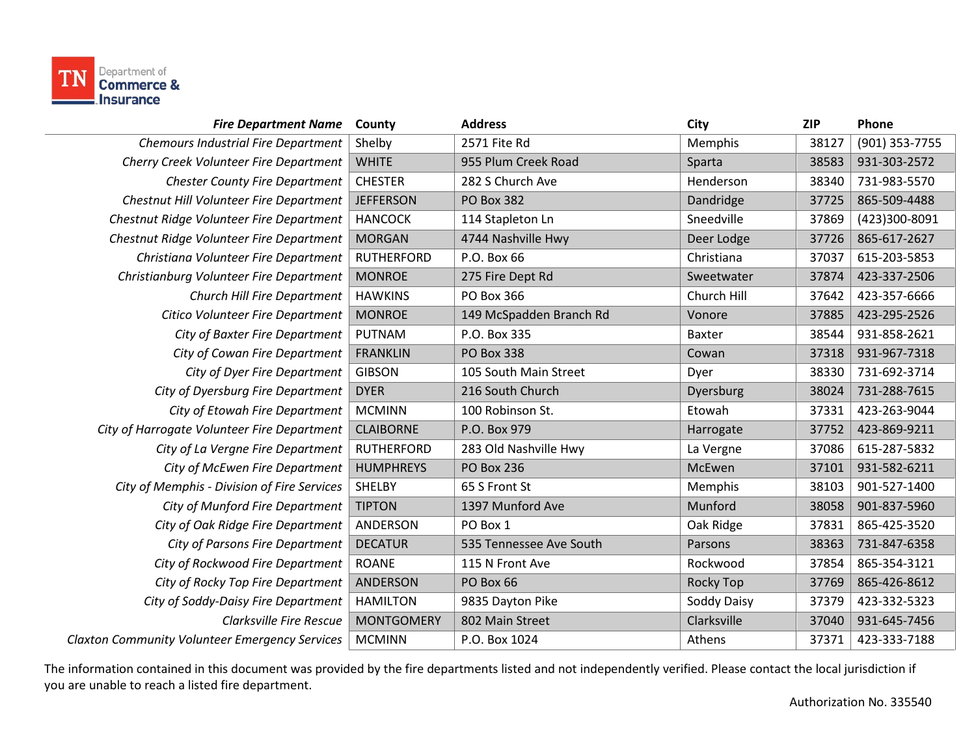

| <b>Fire Department Name</b>                           | County            | <b>Address</b>          | City          | <b>ZIP</b> | Phone          |
|-------------------------------------------------------|-------------------|-------------------------|---------------|------------|----------------|
| <b>Chemours Industrial Fire Department</b>            | Shelby            | 2571 Fite Rd            | Memphis       | 38127      | (901) 353-7755 |
| Cherry Creek Volunteer Fire Department                | <b>WHITE</b>      | 955 Plum Creek Road     | Sparta        | 38583      | 931-303-2572   |
| <b>Chester County Fire Department</b>                 | <b>CHESTER</b>    | 282 S Church Ave        | Henderson     | 38340      | 731-983-5570   |
| Chestnut Hill Volunteer Fire Department               | <b>JEFFERSON</b>  | <b>PO Box 382</b>       | Dandridge     | 37725      | 865-509-4488   |
| Chestnut Ridge Volunteer Fire Department              | <b>HANCOCK</b>    | 114 Stapleton Ln        | Sneedville    | 37869      | (423)300-8091  |
| Chestnut Ridge Volunteer Fire Department              | <b>MORGAN</b>     | 4744 Nashville Hwy      | Deer Lodge    | 37726      | 865-617-2627   |
| Christiana Volunteer Fire Department                  | <b>RUTHERFORD</b> | P.O. Box 66             | Christiana    | 37037      | 615-203-5853   |
| Christianburg Volunteer Fire Department               | <b>MONROE</b>     | 275 Fire Dept Rd        | Sweetwater    | 37874      | 423-337-2506   |
| Church Hill Fire Department                           | <b>HAWKINS</b>    | PO Box 366              | Church Hill   | 37642      | 423-357-6666   |
| Citico Volunteer Fire Department                      | <b>MONROE</b>     | 149 McSpadden Branch Rd | Vonore        | 37885      | 423-295-2526   |
| City of Baxter Fire Department                        | PUTNAM            | P.O. Box 335            | <b>Baxter</b> | 38544      | 931-858-2621   |
| City of Cowan Fire Department                         | <b>FRANKLIN</b>   | <b>PO Box 338</b>       | Cowan         | 37318      | 931-967-7318   |
| City of Dyer Fire Department                          | <b>GIBSON</b>     | 105 South Main Street   | Dyer          | 38330      | 731-692-3714   |
| City of Dyersburg Fire Department                     | <b>DYER</b>       | 216 South Church        | Dyersburg     | 38024      | 731-288-7615   |
| City of Etowah Fire Department                        | <b>MCMINN</b>     | 100 Robinson St.        | Etowah        | 37331      | 423-263-9044   |
| City of Harrogate Volunteer Fire Department           | <b>CLAIBORNE</b>  | P.O. Box 979            | Harrogate     | 37752      | 423-869-9211   |
| City of La Vergne Fire Department                     | <b>RUTHERFORD</b> | 283 Old Nashville Hwy   | La Vergne     | 37086      | 615-287-5832   |
| City of McEwen Fire Department                        | <b>HUMPHREYS</b>  | <b>PO Box 236</b>       | McEwen        | 37101      | 931-582-6211   |
| City of Memphis - Division of Fire Services           | <b>SHELBY</b>     | 65 S Front St           | Memphis       | 38103      | 901-527-1400   |
| City of Munford Fire Department                       | <b>TIPTON</b>     | 1397 Munford Ave        | Munford       | 38058      | 901-837-5960   |
| City of Oak Ridge Fire Department                     | ANDERSON          | PO Box 1                | Oak Ridge     | 37831      | 865-425-3520   |
| City of Parsons Fire Department                       | <b>DECATUR</b>    | 535 Tennessee Ave South | Parsons       | 38363      | 731-847-6358   |
| City of Rockwood Fire Department                      | <b>ROANE</b>      | 115 N Front Ave         | Rockwood      | 37854      | 865-354-3121   |
| City of Rocky Top Fire Department                     | <b>ANDERSON</b>   | PO Box 66               | Rocky Top     | 37769      | 865-426-8612   |
| City of Soddy-Daisy Fire Department                   | <b>HAMILTON</b>   | 9835 Dayton Pike        | Soddy Daisy   | 37379      | 423-332-5323   |
| <b>Clarksville Fire Rescue</b>                        | <b>MONTGOMERY</b> | 802 Main Street         | Clarksville   | 37040      | 931-645-7456   |
| <b>Claxton Community Volunteer Emergency Services</b> | <b>MCMINN</b>     | P.O. Box 1024           | Athens        | 37371      | 423-333-7188   |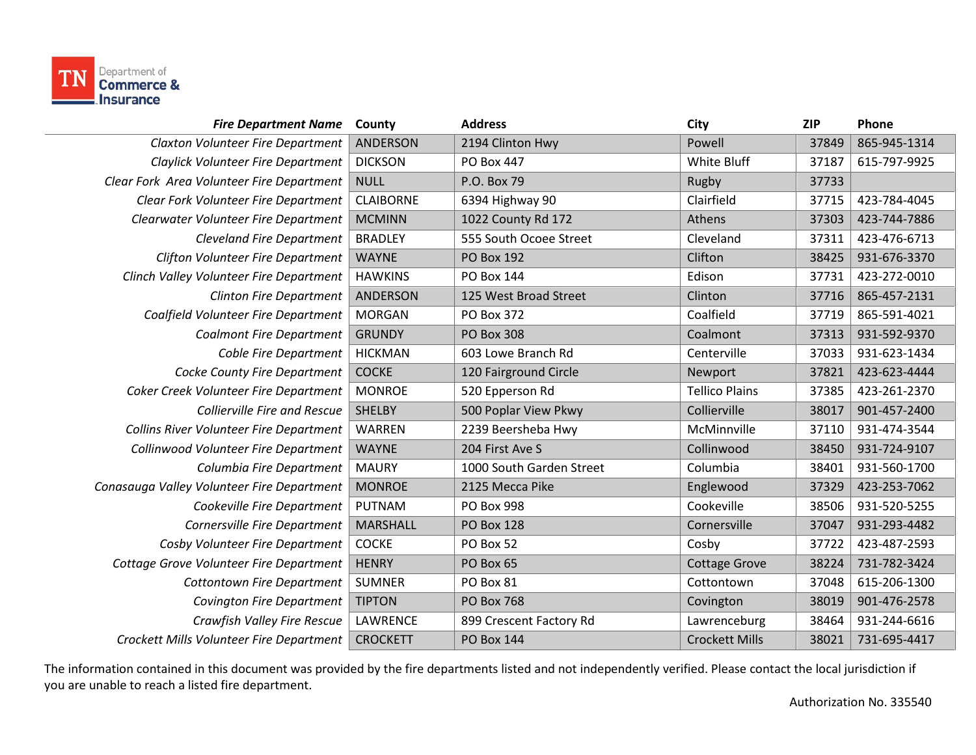

| <b>Fire Department Name</b>                    | County           | <b>Address</b>           | City                  | <b>ZIP</b> | Phone        |
|------------------------------------------------|------------------|--------------------------|-----------------------|------------|--------------|
| Claxton Volunteer Fire Department              | <b>ANDERSON</b>  | 2194 Clinton Hwy         | Powell                | 37849      | 865-945-1314 |
| Claylick Volunteer Fire Department             | <b>DICKSON</b>   | PO Box 447               | White Bluff           | 37187      | 615-797-9925 |
| Clear Fork Area Volunteer Fire Department      | <b>NULL</b>      | P.O. Box 79              | Rugby                 | 37733      |              |
| Clear Fork Volunteer Fire Department           | <b>CLAIBORNE</b> | 6394 Highway 90          | Clairfield            | 37715      | 423-784-4045 |
| Clearwater Volunteer Fire Department           | <b>MCMINN</b>    | 1022 County Rd 172       | Athens                | 37303      | 423-744-7886 |
| <b>Cleveland Fire Department</b>               | <b>BRADLEY</b>   | 555 South Ocoee Street   | Cleveland             | 37311      | 423-476-6713 |
| <b>Clifton Volunteer Fire Department</b>       | <b>WAYNE</b>     | <b>PO Box 192</b>        | Clifton               | 38425      | 931-676-3370 |
| Clinch Valley Volunteer Fire Department        | <b>HAWKINS</b>   | <b>PO Box 144</b>        | Edison                | 37731      | 423-272-0010 |
| <b>Clinton Fire Department</b>                 | <b>ANDERSON</b>  | 125 West Broad Street    | Clinton               | 37716      | 865-457-2131 |
| Coalfield Volunteer Fire Department            | <b>MORGAN</b>    | PO Box 372               | Coalfield             | 37719      | 865-591-4021 |
| <b>Coalmont Fire Department</b>                | <b>GRUNDY</b>    | <b>PO Box 308</b>        | Coalmont              | 37313      | 931-592-9370 |
| Coble Fire Department                          | <b>HICKMAN</b>   | 603 Lowe Branch Rd       | Centerville           | 37033      | 931-623-1434 |
| Cocke County Fire Department                   | <b>COCKE</b>     | 120 Fairground Circle    | Newport               | 37821      | 423-623-4444 |
| Coker Creek Volunteer Fire Department          | <b>MONROE</b>    | 520 Epperson Rd          | <b>Tellico Plains</b> | 37385      | 423-261-2370 |
| <b>Collierville Fire and Rescue</b>            | <b>SHELBY</b>    | 500 Poplar View Pkwy     | Collierville          | 38017      | 901-457-2400 |
| <b>Collins River Volunteer Fire Department</b> | <b>WARREN</b>    | 2239 Beersheba Hwy       | McMinnville           | 37110      | 931-474-3544 |
| Collinwood Volunteer Fire Department           | <b>WAYNE</b>     | 204 First Ave S          | Collinwood            | 38450      | 931-724-9107 |
| Columbia Fire Department                       | <b>MAURY</b>     | 1000 South Garden Street | Columbia              | 38401      | 931-560-1700 |
| Conasauga Valley Volunteer Fire Department     | <b>MONROE</b>    | 2125 Mecca Pike          | Englewood             | 37329      | 423-253-7062 |
| Cookeville Fire Department                     | PUTNAM           | PO Box 998               | Cookeville            | 38506      | 931-520-5255 |
| Cornersville Fire Department                   | <b>MARSHALL</b>  | <b>PO Box 128</b>        | Cornersville          | 37047      | 931-293-4482 |
| Cosby Volunteer Fire Department                | <b>COCKE</b>     | PO Box 52                | Cosby                 | 37722      | 423-487-2593 |
| Cottage Grove Volunteer Fire Department        | <b>HENRY</b>     | PO Box 65                | <b>Cottage Grove</b>  | 38224      | 731-782-3424 |
| <b>Cottontown Fire Department</b>              | <b>SUMNER</b>    | PO Box 81                | Cottontown            | 37048      | 615-206-1300 |
| <b>Covington Fire Department</b>               | <b>TIPTON</b>    | <b>PO Box 768</b>        | Covington             | 38019      | 901-476-2578 |
| Crawfish Valley Fire Rescue                    | LAWRENCE         | 899 Crescent Factory Rd  | Lawrenceburg          | 38464      | 931-244-6616 |
| Crockett Mills Volunteer Fire Department       | <b>CROCKETT</b>  | <b>PO Box 144</b>        | <b>Crockett Mills</b> | 38021      | 731-695-4417 |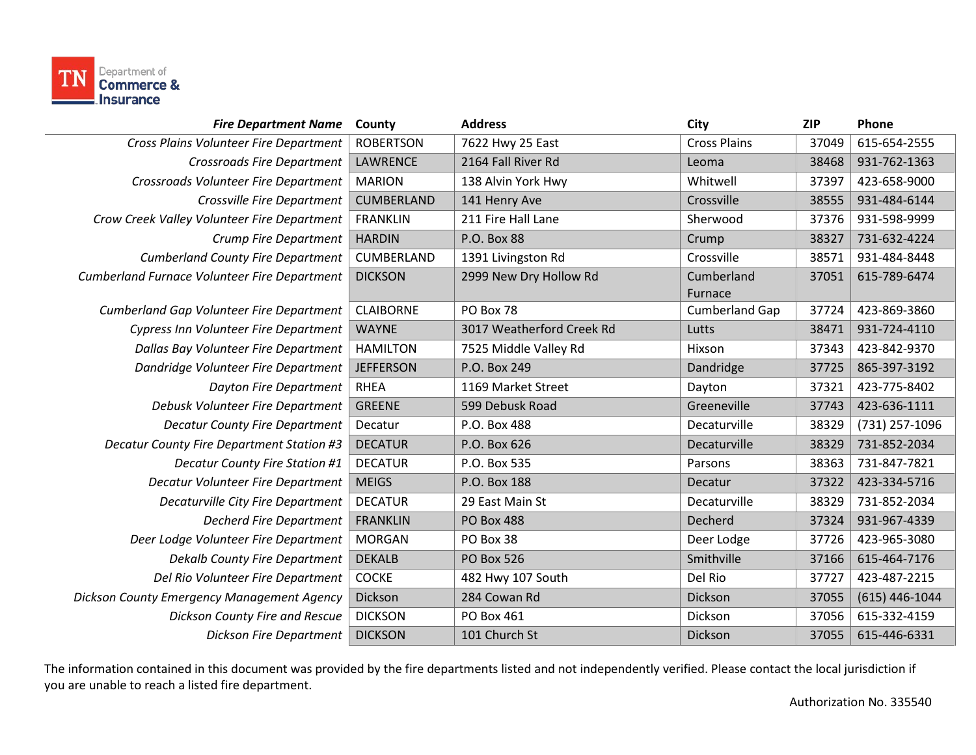

| <b>Fire Department Name</b>                      | County            | <b>Address</b>            | City                  | <b>ZIP</b> | Phone            |
|--------------------------------------------------|-------------------|---------------------------|-----------------------|------------|------------------|
| Cross Plains Volunteer Fire Department           | <b>ROBERTSON</b>  | 7622 Hwy 25 East          | <b>Cross Plains</b>   | 37049      | 615-654-2555     |
| <b>Crossroads Fire Department</b>                | <b>LAWRENCE</b>   | 2164 Fall River Rd        | Leoma                 | 38468      | 931-762-1363     |
| Crossroads Volunteer Fire Department             | <b>MARION</b>     | 138 Alvin York Hwy        | Whitwell              | 37397      | 423-658-9000     |
| Crossville Fire Department                       | <b>CUMBERLAND</b> | 141 Henry Ave             | Crossville            | 38555      | 931-484-6144     |
| Crow Creek Valley Volunteer Fire Department      | <b>FRANKLIN</b>   | 211 Fire Hall Lane        | Sherwood              | 37376      | 931-598-9999     |
| Crump Fire Department                            | <b>HARDIN</b>     | P.O. Box 88               | Crump                 | 38327      | 731-632-4224     |
| <b>Cumberland County Fire Department</b>         | CUMBERLAND        | 1391 Livingston Rd        | Crossville            | 38571      | 931-484-8448     |
| Cumberland Furnace Volunteer Fire Department     | <b>DICKSON</b>    | 2999 New Dry Hollow Rd    | Cumberland            | 37051      | 615-789-6474     |
|                                                  |                   |                           | Furnace               |            |                  |
| Cumberland Gap Volunteer Fire Department         | <b>CLAIBORNE</b>  | PO Box 78                 | <b>Cumberland Gap</b> | 37724      | 423-869-3860     |
| Cypress Inn Volunteer Fire Department            | <b>WAYNE</b>      | 3017 Weatherford Creek Rd | Lutts                 | 38471      | 931-724-4110     |
| Dallas Bay Volunteer Fire Department             | <b>HAMILTON</b>   | 7525 Middle Valley Rd     | Hixson                | 37343      | 423-842-9370     |
| Dandridge Volunteer Fire Department              | <b>JEFFERSON</b>  | P.O. Box 249              | Dandridge             | 37725      | 865-397-3192     |
| <b>Dayton Fire Department</b>                    | <b>RHEA</b>       | 1169 Market Street        | Dayton                | 37321      | 423-775-8402     |
| Debusk Volunteer Fire Department                 | <b>GREENE</b>     | 599 Debusk Road           | Greeneville           | 37743      | 423-636-1111     |
| <b>Decatur County Fire Department</b>            | Decatur           | P.O. Box 488              | Decaturville          | 38329      | (731) 257-1096   |
| <b>Decatur County Fire Department Station #3</b> | <b>DECATUR</b>    | P.O. Box 626              | Decaturville          | 38329      | 731-852-2034     |
| <b>Decatur County Fire Station #1</b>            | <b>DECATUR</b>    | P.O. Box 535              | Parsons               | 38363      | 731-847-7821     |
| Decatur Volunteer Fire Department                | <b>MEIGS</b>      | P.O. Box 188              | Decatur               | 37322      | 423-334-5716     |
| Decaturville City Fire Department                | <b>DECATUR</b>    | 29 East Main St           | Decaturville          | 38329      | 731-852-2034     |
| <b>Decherd Fire Department</b>                   | <b>FRANKLIN</b>   | <b>PO Box 488</b>         | Decherd               | 37324      | 931-967-4339     |
| Deer Lodge Volunteer Fire Department             | <b>MORGAN</b>     | PO Box 38                 | Deer Lodge            | 37726      | 423-965-3080     |
| <b>Dekalb County Fire Department</b>             | <b>DEKALB</b>     | <b>PO Box 526</b>         | Smithville            | 37166      | 615-464-7176     |
| Del Rio Volunteer Fire Department                | <b>COCKE</b>      | 482 Hwy 107 South         | Del Rio               | 37727      | 423-487-2215     |
| Dickson County Emergency Management Agency       | Dickson           | 284 Cowan Rd              | Dickson               | 37055      | $(615)$ 446-1044 |
| Dickson County Fire and Rescue                   | <b>DICKSON</b>    | PO Box 461                | Dickson               | 37056      | 615-332-4159     |
| <b>Dickson Fire Department</b>                   | <b>DICKSON</b>    | 101 Church St             | Dickson               | 37055      | 615-446-6331     |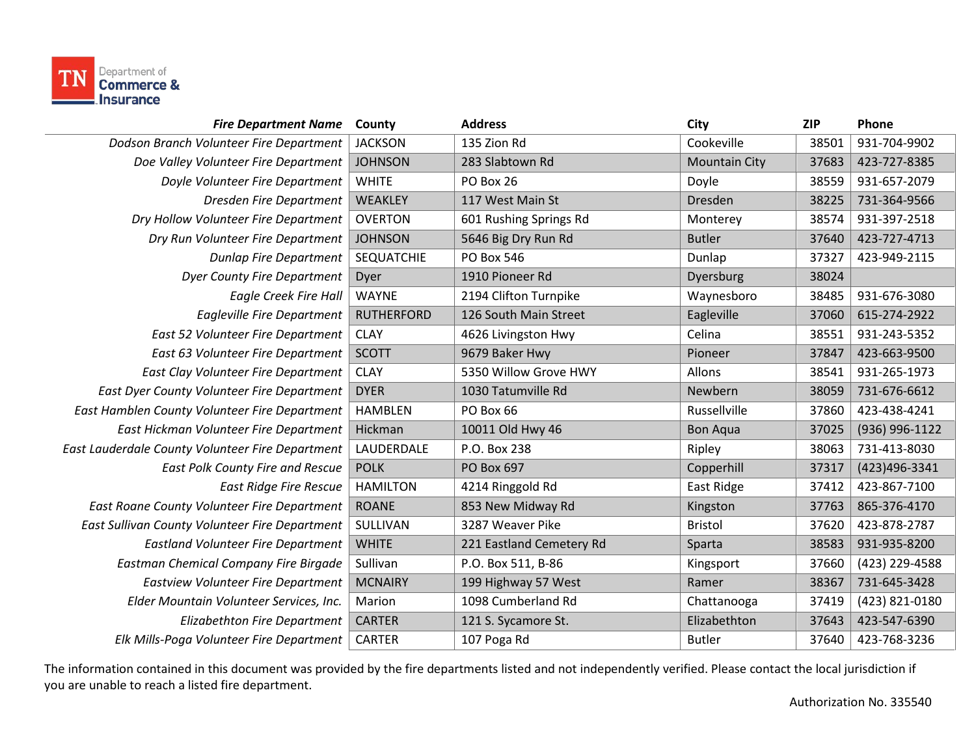

| <b>Fire Department Name</b>                      | County            | <b>Address</b>           | City                 | <b>ZIP</b> | Phone          |
|--------------------------------------------------|-------------------|--------------------------|----------------------|------------|----------------|
| Dodson Branch Volunteer Fire Department          | <b>JACKSON</b>    | 135 Zion Rd              | Cookeville           | 38501      | 931-704-9902   |
| Doe Valley Volunteer Fire Department             | <b>JOHNSON</b>    | 283 Slabtown Rd          | <b>Mountain City</b> | 37683      | 423-727-8385   |
| Doyle Volunteer Fire Department                  | <b>WHITE</b>      | PO Box 26                | Doyle                | 38559      | 931-657-2079   |
| Dresden Fire Department                          | WEAKLEY           | 117 West Main St         | Dresden              | 38225      | 731-364-9566   |
| Dry Hollow Volunteer Fire Department             | <b>OVERTON</b>    | 601 Rushing Springs Rd   | Monterey             | 38574      | 931-397-2518   |
| Dry Run Volunteer Fire Department                | <b>JOHNSON</b>    | 5646 Big Dry Run Rd      | <b>Butler</b>        | 37640      | 423-727-4713   |
| <b>Dunlap Fire Department</b>                    | <b>SEQUATCHIE</b> | PO Box 546               | Dunlap               | 37327      | 423-949-2115   |
| <b>Dyer County Fire Department</b>               | Dyer              | 1910 Pioneer Rd          | Dyersburg            | 38024      |                |
| <b>Eagle Creek Fire Hall</b>                     | <b>WAYNE</b>      | 2194 Clifton Turnpike    | Waynesboro           | 38485      | 931-676-3080   |
| <b>Eagleville Fire Department</b>                | <b>RUTHERFORD</b> | 126 South Main Street    | Eagleville           | 37060      | 615-274-2922   |
| East 52 Volunteer Fire Department                | <b>CLAY</b>       | 4626 Livingston Hwy      | Celina               | 38551      | 931-243-5352   |
| East 63 Volunteer Fire Department                | <b>SCOTT</b>      | 9679 Baker Hwy           | Pioneer              | 37847      | 423-663-9500   |
| East Clay Volunteer Fire Department              | <b>CLAY</b>       | 5350 Willow Grove HWY    | Allons               | 38541      | 931-265-1973   |
| East Dyer County Volunteer Fire Department       | <b>DYER</b>       | 1030 Tatumville Rd       | Newbern              | 38059      | 731-676-6612   |
| East Hamblen County Volunteer Fire Department    | <b>HAMBLEN</b>    | PO Box 66                | Russellville         | 37860      | 423-438-4241   |
| East Hickman Volunteer Fire Department           | Hickman           | 10011 Old Hwy 46         | <b>Bon Aqua</b>      | 37025      | (936) 996-1122 |
| East Lauderdale County Volunteer Fire Department | LAUDERDALE        | P.O. Box 238             | Ripley               | 38063      | 731-413-8030   |
| East Polk County Fire and Rescue                 | <b>POLK</b>       | PO Box 697               | Copperhill           | 37317      | (423)496-3341  |
| <b>East Ridge Fire Rescue</b>                    | <b>HAMILTON</b>   | 4214 Ringgold Rd         | East Ridge           | 37412      | 423-867-7100   |
| East Roane County Volunteer Fire Department      | <b>ROANE</b>      | 853 New Midway Rd        | Kingston             | 37763      | 865-376-4170   |
| East Sullivan County Volunteer Fire Department   | SULLIVAN          | 3287 Weaver Pike         | <b>Bristol</b>       | 37620      | 423-878-2787   |
| <b>Eastland Volunteer Fire Department</b>        | <b>WHITE</b>      | 221 Eastland Cemetery Rd | Sparta               | 38583      | 931-935-8200   |
| <b>Eastman Chemical Company Fire Birgade</b>     | Sullivan          | P.O. Box 511, B-86       | Kingsport            | 37660      | (423) 229-4588 |
| <b>Eastview Volunteer Fire Department</b>        | <b>MCNAIRY</b>    | 199 Highway 57 West      | Ramer                | 38367      | 731-645-3428   |
| Elder Mountain Volunteer Services, Inc.          | Marion            | 1098 Cumberland Rd       | Chattanooga          | 37419      | (423) 821-0180 |
| Elizabethton Fire Department                     | <b>CARTER</b>     | 121 S. Sycamore St.      | Elizabethton         | 37643      | 423-547-6390   |
| Elk Mills-Poga Volunteer Fire Department         | <b>CARTER</b>     | 107 Poga Rd              | <b>Butler</b>        | 37640      | 423-768-3236   |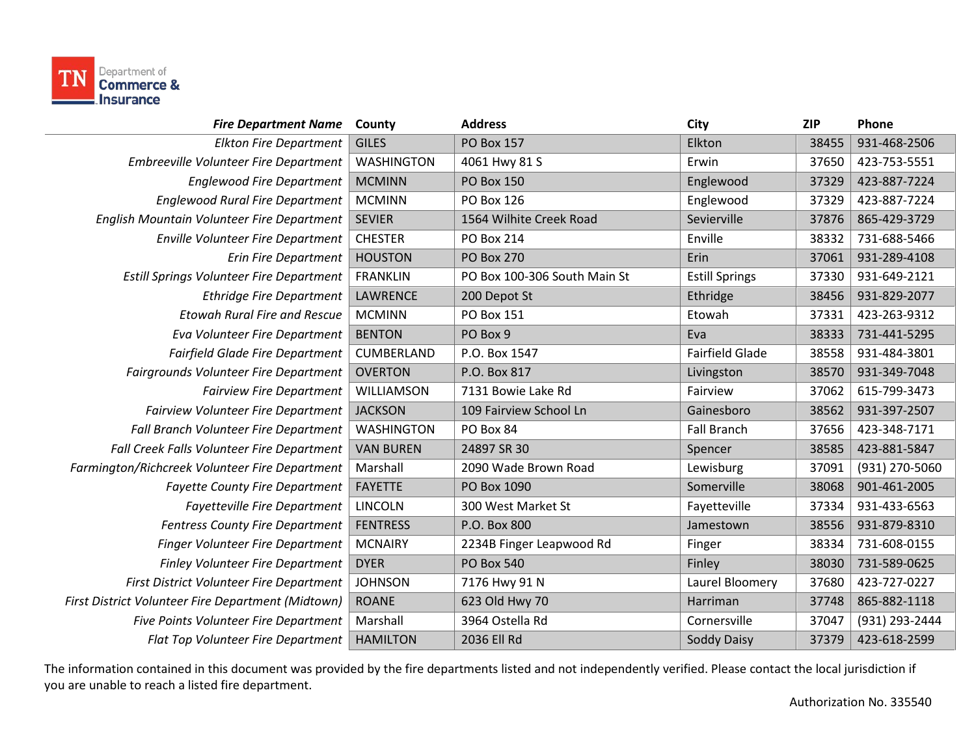

| <b>Fire Department Name</b>                        | County            | <b>Address</b>               | City                   | <b>ZIP</b> | Phone          |
|----------------------------------------------------|-------------------|------------------------------|------------------------|------------|----------------|
| <b>Elkton Fire Department</b>                      | <b>GILES</b>      | <b>PO Box 157</b>            | Elkton                 | 38455      | 931-468-2506   |
| Embreeville Volunteer Fire Department              | <b>WASHINGTON</b> | 4061 Hwy 81 S                | Erwin                  | 37650      | 423-753-5551   |
| <b>Englewood Fire Department</b>                   | <b>MCMINN</b>     | <b>PO Box 150</b>            | Englewood              | 37329      | 423-887-7224   |
| <b>Englewood Rural Fire Department</b>             | <b>MCMINN</b>     | PO Box 126                   | Englewood              | 37329      | 423-887-7224   |
| English Mountain Volunteer Fire Department         | <b>SEVIER</b>     | 1564 Wilhite Creek Road      | Sevierville            | 37876      | 865-429-3729   |
| <b>Enville Volunteer Fire Department</b>           | <b>CHESTER</b>    | PO Box 214                   | Enville                | 38332      | 731-688-5466   |
| <b>Erin Fire Department</b>                        | <b>HOUSTON</b>    | <b>PO Box 270</b>            | Erin                   | 37061      | 931-289-4108   |
| <b>Estill Springs Volunteer Fire Department</b>    | <b>FRANKLIN</b>   | PO Box 100-306 South Main St | <b>Estill Springs</b>  | 37330      | 931-649-2121   |
| <b>Ethridge Fire Department</b>                    | <b>LAWRENCE</b>   | 200 Depot St                 | Ethridge               | 38456      | 931-829-2077   |
| <b>Etowah Rural Fire and Rescue</b>                | <b>MCMINN</b>     | PO Box 151                   | Etowah                 | 37331      | 423-263-9312   |
| Eva Volunteer Fire Department                      | <b>BENTON</b>     | PO Box 9                     | Eva                    | 38333      | 731-441-5295   |
| <b>Fairfield Glade Fire Department</b>             | CUMBERLAND        | P.O. Box 1547                | <b>Fairfield Glade</b> | 38558      | 931-484-3801   |
| Fairgrounds Volunteer Fire Department              | <b>OVERTON</b>    | P.O. Box 817                 | Livingston             | 38570      | 931-349-7048   |
| <b>Fairview Fire Department</b>                    | WILLIAMSON        | 7131 Bowie Lake Rd           | Fairview               | 37062      | 615-799-3473   |
| <b>Fairview Volunteer Fire Department</b>          | <b>JACKSON</b>    | 109 Fairview School Ln       | Gainesboro             | 38562      | 931-397-2507   |
| Fall Branch Volunteer Fire Department              | <b>WASHINGTON</b> | PO Box 84                    | <b>Fall Branch</b>     | 37656      | 423-348-7171   |
| Fall Creek Falls Volunteer Fire Department         | <b>VAN BUREN</b>  | 24897 SR 30                  | Spencer                | 38585      | 423-881-5847   |
| Farmington/Richcreek Volunteer Fire Department     | Marshall          | 2090 Wade Brown Road         | Lewisburg              | 37091      | (931) 270-5060 |
| <b>Fayette County Fire Department</b>              | <b>FAYETTE</b>    | PO Box 1090                  | Somerville             | 38068      | 901-461-2005   |
| Fayetteville Fire Department                       | <b>LINCOLN</b>    | 300 West Market St           | Fayetteville           | 37334      | 931-433-6563   |
| <b>Fentress County Fire Department</b>             | <b>FENTRESS</b>   | P.O. Box 800                 | Jamestown              | 38556      | 931-879-8310   |
| Finger Volunteer Fire Department                   | <b>MCNAIRY</b>    | 2234B Finger Leapwood Rd     | Finger                 | 38334      | 731-608-0155   |
| <b>Finley Volunteer Fire Department</b>            | <b>DYER</b>       | <b>PO Box 540</b>            | Finley                 | 38030      | 731-589-0625   |
| First District Volunteer Fire Department           | <b>JOHNSON</b>    | 7176 Hwy 91 N                | Laurel Bloomery        | 37680      | 423-727-0227   |
| First District Volunteer Fire Department (Midtown) | <b>ROANE</b>      | 623 Old Hwy 70               | Harriman               | 37748      | 865-882-1118   |
| Five Points Volunteer Fire Department              | Marshall          | 3964 Ostella Rd              | Cornersville           | 37047      | (931) 293-2444 |
| Flat Top Volunteer Fire Department                 | <b>HAMILTON</b>   | 2036 Ell Rd                  | Soddy Daisy            | 37379      | 423-618-2599   |
|                                                    |                   |                              |                        |            |                |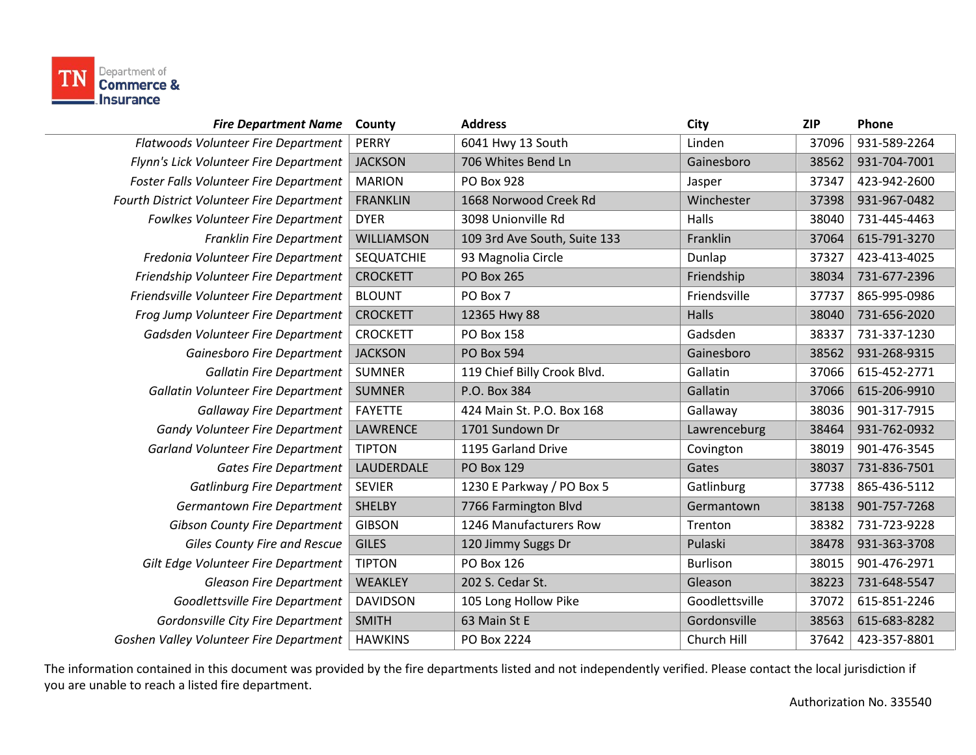

| <b>Fire Department Name</b>               | County            | <b>Address</b>               | City            | <b>ZIP</b> | Phone        |
|-------------------------------------------|-------------------|------------------------------|-----------------|------------|--------------|
| Flatwoods Volunteer Fire Department       | <b>PERRY</b>      | 6041 Hwy 13 South            | Linden          | 37096      | 931-589-2264 |
| Flynn's Lick Volunteer Fire Department    | <b>JACKSON</b>    | 706 Whites Bend Ln           | Gainesboro      | 38562      | 931-704-7001 |
| Foster Falls Volunteer Fire Department    | <b>MARION</b>     | PO Box 928                   | Jasper          | 37347      | 423-942-2600 |
| Fourth District Volunteer Fire Department | <b>FRANKLIN</b>   | 1668 Norwood Creek Rd        | Winchester      | 37398      | 931-967-0482 |
| <b>Fowlkes Volunteer Fire Department</b>  | <b>DYER</b>       | 3098 Unionville Rd           | Halls           | 38040      | 731-445-4463 |
| <b>Franklin Fire Department</b>           | <b>WILLIAMSON</b> | 109 3rd Ave South, Suite 133 | Franklin        | 37064      | 615-791-3270 |
| Fredonia Volunteer Fire Department        | <b>SEQUATCHIE</b> | 93 Magnolia Circle           | Dunlap          | 37327      | 423-413-4025 |
| Friendship Volunteer Fire Department      | <b>CROCKETT</b>   | <b>PO Box 265</b>            | Friendship      | 38034      | 731-677-2396 |
| Friendsville Volunteer Fire Department    | <b>BLOUNT</b>     | PO Box 7                     | Friendsville    | 37737      | 865-995-0986 |
| Frog Jump Volunteer Fire Department       | <b>CROCKETT</b>   | 12365 Hwy 88                 | Halls           | 38040      | 731-656-2020 |
| Gadsden Volunteer Fire Department         | <b>CROCKETT</b>   | <b>PO Box 158</b>            | Gadsden         | 38337      | 731-337-1230 |
| Gainesboro Fire Department                | <b>JACKSON</b>    | <b>PO Box 594</b>            | Gainesboro      | 38562      | 931-268-9315 |
| <b>Gallatin Fire Department</b>           | <b>SUMNER</b>     | 119 Chief Billy Crook Blvd.  | Gallatin        | 37066      | 615-452-2771 |
| <b>Gallatin Volunteer Fire Department</b> | <b>SUMNER</b>     | P.O. Box 384                 | Gallatin        | 37066      | 615-206-9910 |
| <b>Gallaway Fire Department</b>           | <b>FAYETTE</b>    | 424 Main St. P.O. Box 168    | Gallaway        | 38036      | 901-317-7915 |
| <b>Gandy Volunteer Fire Department</b>    | LAWRENCE          | 1701 Sundown Dr              | Lawrenceburg    | 38464      | 931-762-0932 |
| <b>Garland Volunteer Fire Department</b>  | <b>TIPTON</b>     | 1195 Garland Drive           | Covington       | 38019      | 901-476-3545 |
| <b>Gates Fire Department</b>              | LAUDERDALE        | <b>PO Box 129</b>            | Gates           | 38037      | 731-836-7501 |
| <b>Gatlinburg Fire Department</b>         | <b>SEVIER</b>     | 1230 E Parkway / PO Box 5    | Gatlinburg      | 37738      | 865-436-5112 |
| <b>Germantown Fire Department</b>         | <b>SHELBY</b>     | 7766 Farmington Blvd         | Germantown      | 38138      | 901-757-7268 |
| <b>Gibson County Fire Department</b>      | <b>GIBSON</b>     | 1246 Manufacturers Row       | Trenton         | 38382      | 731-723-9228 |
| Giles County Fire and Rescue              | <b>GILES</b>      | 120 Jimmy Suggs Dr           | Pulaski         | 38478      | 931-363-3708 |
| Gilt Edge Volunteer Fire Department       | <b>TIPTON</b>     | PO Box 126                   | <b>Burlison</b> | 38015      | 901-476-2971 |
| <b>Gleason Fire Department</b>            | <b>WEAKLEY</b>    | 202 S. Cedar St.             | Gleason         | 38223      | 731-648-5547 |
| Goodlettsville Fire Department            | <b>DAVIDSON</b>   | 105 Long Hollow Pike         | Goodlettsville  | 37072      | 615-851-2246 |
| Gordonsville City Fire Department         | <b>SMITH</b>      | 63 Main St E                 | Gordonsville    | 38563      | 615-683-8282 |
| Goshen Valley Volunteer Fire Department   | <b>HAWKINS</b>    | PO Box 2224                  | Church Hill     | 37642      | 423-357-8801 |
|                                           |                   |                              |                 |            |              |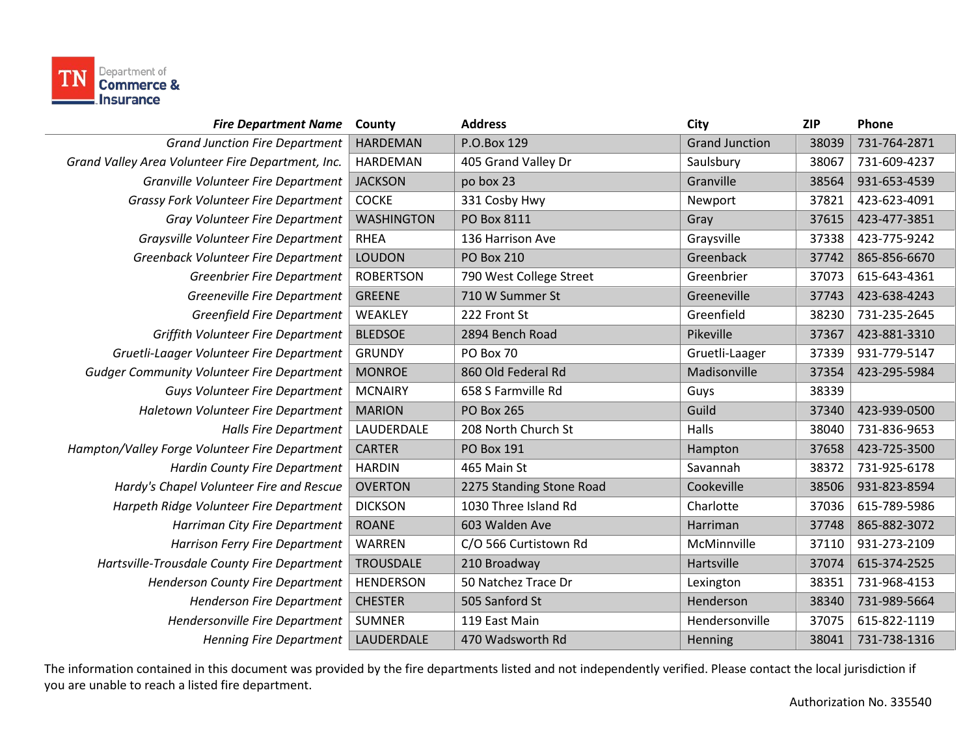

| <b>Fire Department Name</b>                       | County            | <b>Address</b>           | City                  | <b>ZIP</b> | Phone        |
|---------------------------------------------------|-------------------|--------------------------|-----------------------|------------|--------------|
| <b>Grand Junction Fire Department</b>             | <b>HARDEMAN</b>   | P.O.Box 129              | <b>Grand Junction</b> | 38039      | 731-764-2871 |
| Grand Valley Area Volunteer Fire Department, Inc. | <b>HARDEMAN</b>   | 405 Grand Valley Dr      | Saulsbury             | 38067      | 731-609-4237 |
| Granville Volunteer Fire Department               | <b>JACKSON</b>    | po box 23                | Granville             | 38564      | 931-653-4539 |
| Grassy Fork Volunteer Fire Department             | <b>COCKE</b>      | 331 Cosby Hwy            | Newport               | 37821      | 423-623-4091 |
| Gray Volunteer Fire Department                    | <b>WASHINGTON</b> | PO Box 8111              | Gray                  | 37615      | 423-477-3851 |
| Graysville Volunteer Fire Department              | <b>RHEA</b>       | 136 Harrison Ave         | Graysville            | 37338      | 423-775-9242 |
| Greenback Volunteer Fire Department               | <b>LOUDON</b>     | <b>PO Box 210</b>        | Greenback             | 37742      | 865-856-6670 |
| <b>Greenbrier Fire Department</b>                 | <b>ROBERTSON</b>  | 790 West College Street  | Greenbrier            | 37073      | 615-643-4361 |
| Greeneville Fire Department                       | <b>GREENE</b>     | 710 W Summer St          | Greeneville           | 37743      | 423-638-4243 |
| <b>Greenfield Fire Department</b>                 | WEAKLEY           | 222 Front St             | Greenfield            | 38230      | 731-235-2645 |
| Griffith Volunteer Fire Department                | <b>BLEDSOE</b>    | 2894 Bench Road          | Pikeville             | 37367      | 423-881-3310 |
| Gruetli-Laager Volunteer Fire Department          | <b>GRUNDY</b>     | PO Box 70                | Gruetli-Laager        | 37339      | 931-779-5147 |
| <b>Gudger Community Volunteer Fire Department</b> | <b>MONROE</b>     | 860 Old Federal Rd       | Madisonville          | 37354      | 423-295-5984 |
| <b>Guys Volunteer Fire Department</b>             | <b>MCNAIRY</b>    | 658 S Farmville Rd       | Guys                  | 38339      |              |
| Haletown Volunteer Fire Department                | <b>MARION</b>     | <b>PO Box 265</b>        | Guild                 | 37340      | 423-939-0500 |
| <b>Halls Fire Department</b>                      | LAUDERDALE        | 208 North Church St      | Halls                 | 38040      | 731-836-9653 |
| Hampton/Valley Forge Volunteer Fire Department    | <b>CARTER</b>     | PO Box 191               | Hampton               | 37658      | 423-725-3500 |
| <b>Hardin County Fire Department</b>              | <b>HARDIN</b>     | 465 Main St              | Savannah              | 38372      | 731-925-6178 |
| Hardy's Chapel Volunteer Fire and Rescue          | <b>OVERTON</b>    | 2275 Standing Stone Road | Cookeville            | 38506      | 931-823-8594 |
| Harpeth Ridge Volunteer Fire Department           | <b>DICKSON</b>    | 1030 Three Island Rd     | Charlotte             | 37036      | 615-789-5986 |
| Harriman City Fire Department                     | <b>ROANE</b>      | 603 Walden Ave           | Harriman              | 37748      | 865-882-3072 |
| Harrison Ferry Fire Department                    | WARREN            | C/O 566 Curtistown Rd    | McMinnville           | 37110      | 931-273-2109 |
| Hartsville-Trousdale County Fire Department       | <b>TROUSDALE</b>  | 210 Broadway             | Hartsville            | 37074      | 615-374-2525 |
| Henderson County Fire Department                  | <b>HENDERSON</b>  | 50 Natchez Trace Dr      | Lexington             | 38351      | 731-968-4153 |
| <b>Henderson Fire Department</b>                  | <b>CHESTER</b>    | 505 Sanford St           | Henderson             | 38340      | 731-989-5664 |
| Hendersonville Fire Department                    | <b>SUMNER</b>     | 119 East Main            | Hendersonville        | 37075      | 615-822-1119 |
| <b>Henning Fire Department</b>                    | LAUDERDALE        | 470 Wadsworth Rd         | Henning               | 38041      | 731-738-1316 |
|                                                   |                   |                          |                       |            |              |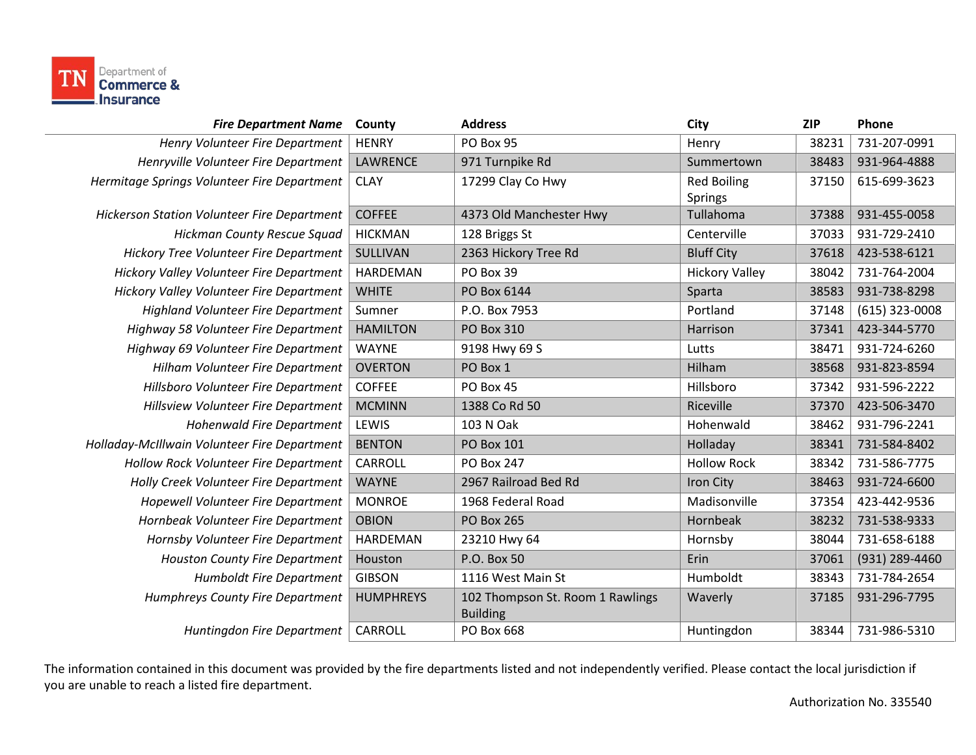

| <b>Fire Department Name</b>                  | County           | <b>Address</b>                                      | <b>City</b>           | <b>ZIP</b> | Phone            |
|----------------------------------------------|------------------|-----------------------------------------------------|-----------------------|------------|------------------|
| Henry Volunteer Fire Department              | <b>HENRY</b>     | PO Box 95                                           | Henry                 | 38231      | 731-207-0991     |
| Henryville Volunteer Fire Department         | <b>LAWRENCE</b>  | 971 Turnpike Rd                                     | Summertown            | 38483      | 931-964-4888     |
| Hermitage Springs Volunteer Fire Department  | <b>CLAY</b>      | 17299 Clay Co Hwy                                   | <b>Red Boiling</b>    | 37150      | 615-699-3623     |
|                                              |                  |                                                     | Springs               |            |                  |
| Hickerson Station Volunteer Fire Department  | <b>COFFEE</b>    | 4373 Old Manchester Hwy                             | Tullahoma             | 37388      | 931-455-0058     |
| Hickman County Rescue Squad                  | <b>HICKMAN</b>   | 128 Briggs St                                       | Centerville           | 37033      | 931-729-2410     |
| Hickory Tree Volunteer Fire Department       | SULLIVAN         | 2363 Hickory Tree Rd                                | <b>Bluff City</b>     | 37618      | 423-538-6121     |
| Hickory Valley Volunteer Fire Department     | <b>HARDEMAN</b>  | PO Box 39                                           | <b>Hickory Valley</b> | 38042      | 731-764-2004     |
| Hickory Valley Volunteer Fire Department     | <b>WHITE</b>     | PO Box 6144                                         | Sparta                | 38583      | 931-738-8298     |
| <b>Highland Volunteer Fire Department</b>    | Sumner           | P.O. Box 7953                                       | Portland              | 37148      | $(615)$ 323-0008 |
| Highway 58 Volunteer Fire Department         | <b>HAMILTON</b>  | PO Box 310                                          | Harrison              | 37341      | 423-344-5770     |
| Highway 69 Volunteer Fire Department         | <b>WAYNE</b>     | 9198 Hwy 69 S                                       | Lutts                 | 38471      | 931-724-6260     |
| Hilham Volunteer Fire Department             | <b>OVERTON</b>   | PO Box 1                                            | Hilham                | 38568      | 931-823-8594     |
| Hillsboro Volunteer Fire Department          | <b>COFFEE</b>    | PO Box 45                                           | Hillsboro             | 37342      | 931-596-2222     |
| Hillsview Volunteer Fire Department          | <b>MCMINN</b>    | 1388 Co Rd 50                                       | Riceville             | 37370      | 423-506-3470     |
| <b>Hohenwald Fire Department</b>             | LEWIS            | 103 N Oak                                           | Hohenwald             | 38462      | 931-796-2241     |
| Holladay-McIllwain Volunteer Fire Department | <b>BENTON</b>    | PO Box 101                                          | Holladay              | 38341      | 731-584-8402     |
| Hollow Rock Volunteer Fire Department        | CARROLL          | PO Box 247                                          | <b>Hollow Rock</b>    | 38342      | 731-586-7775     |
| Holly Creek Volunteer Fire Department        | <b>WAYNE</b>     | 2967 Railroad Bed Rd                                | Iron City             | 38463      | 931-724-6600     |
| Hopewell Volunteer Fire Department           | <b>MONROE</b>    | 1968 Federal Road                                   | Madisonville          | 37354      | 423-442-9536     |
| Hornbeak Volunteer Fire Department           | <b>OBION</b>     | <b>PO Box 265</b>                                   | Hornbeak              | 38232      | 731-538-9333     |
| Hornsby Volunteer Fire Department            | <b>HARDEMAN</b>  | 23210 Hwy 64                                        | Hornsby               | 38044      | 731-658-6188     |
| <b>Houston County Fire Department</b>        | Houston          | P.O. Box 50                                         | Erin                  | 37061      | (931) 289-4460   |
| <b>Humboldt Fire Department</b>              | <b>GIBSON</b>    | 1116 West Main St                                   | Humboldt              | 38343      | 731-784-2654     |
| Humphreys County Fire Department             | <b>HUMPHREYS</b> | 102 Thompson St. Room 1 Rawlings<br><b>Building</b> | Waverly               | 37185      | 931-296-7795     |
| Huntingdon Fire Department                   | CARROLL          | PO Box 668                                          | Huntingdon            | 38344      | 731-986-5310     |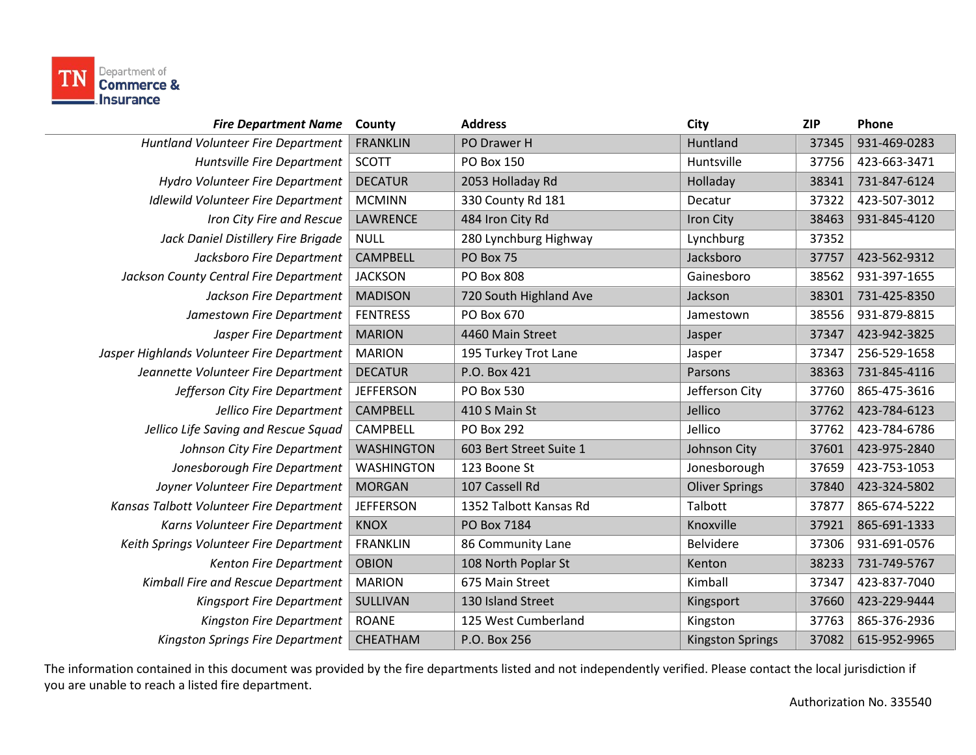

| <b>Fire Department Name</b>                | County            | <b>Address</b>          | City                    | <b>ZIP</b> | Phone        |
|--------------------------------------------|-------------------|-------------------------|-------------------------|------------|--------------|
| Huntland Volunteer Fire Department         | <b>FRANKLIN</b>   | PO Drawer H             | Huntland                | 37345      | 931-469-0283 |
| Huntsville Fire Department                 | <b>SCOTT</b>      | <b>PO Box 150</b>       | Huntsville              | 37756      | 423-663-3471 |
| Hydro Volunteer Fire Department            | <b>DECATUR</b>    | 2053 Holladay Rd        | Holladay                | 38341      | 731-847-6124 |
| <b>Idlewild Volunteer Fire Department</b>  | <b>MCMINN</b>     | 330 County Rd 181       | Decatur                 | 37322      | 423-507-3012 |
| Iron City Fire and Rescue                  | LAWRENCE          | 484 Iron City Rd        | Iron City               | 38463      | 931-845-4120 |
| Jack Daniel Distillery Fire Brigade        | <b>NULL</b>       | 280 Lynchburg Highway   | Lynchburg               | 37352      |              |
| Jacksboro Fire Department                  | <b>CAMPBELL</b>   | PO Box 75               | Jacksboro               | 37757      | 423-562-9312 |
| Jackson County Central Fire Department     | <b>JACKSON</b>    | <b>PO Box 808</b>       | Gainesboro              | 38562      | 931-397-1655 |
| Jackson Fire Department                    | <b>MADISON</b>    | 720 South Highland Ave  | Jackson                 | 38301      | 731-425-8350 |
| Jamestown Fire Department                  | <b>FENTRESS</b>   | PO Box 670              | Jamestown               | 38556      | 931-879-8815 |
| Jasper Fire Department                     | <b>MARION</b>     | 4460 Main Street        | Jasper                  | 37347      | 423-942-3825 |
| Jasper Highlands Volunteer Fire Department | <b>MARION</b>     | 195 Turkey Trot Lane    | Jasper                  | 37347      | 256-529-1658 |
| Jeannette Volunteer Fire Department        | <b>DECATUR</b>    | P.O. Box 421            | Parsons                 | 38363      | 731-845-4116 |
| Jefferson City Fire Department             | <b>JEFFERSON</b>  | PO Box 530              | Jefferson City          | 37760      | 865-475-3616 |
| Jellico Fire Department                    | <b>CAMPBELL</b>   | 410 S Main St           | Jellico                 | 37762      | 423-784-6123 |
| Jellico Life Saving and Rescue Squad       | <b>CAMPBELL</b>   | <b>PO Box 292</b>       | Jellico                 | 37762      | 423-784-6786 |
| Johnson City Fire Department               | <b>WASHINGTON</b> | 603 Bert Street Suite 1 | Johnson City            | 37601      | 423-975-2840 |
| Jonesborough Fire Department               | <b>WASHINGTON</b> | 123 Boone St            | Jonesborough            | 37659      | 423-753-1053 |
| Joyner Volunteer Fire Department           | <b>MORGAN</b>     | 107 Cassell Rd          | <b>Oliver Springs</b>   | 37840      | 423-324-5802 |
| Kansas Talbott Volunteer Fire Department   | <b>JEFFERSON</b>  | 1352 Talbott Kansas Rd  | Talbott                 | 37877      | 865-674-5222 |
| Karns Volunteer Fire Department            | <b>KNOX</b>       | PO Box 7184             | Knoxville               | 37921      | 865-691-1333 |
| Keith Springs Volunteer Fire Department    | <b>FRANKLIN</b>   | 86 Community Lane       | Belvidere               | 37306      | 931-691-0576 |
| Kenton Fire Department                     | <b>OBION</b>      | 108 North Poplar St     | Kenton                  | 38233      | 731-749-5767 |
| Kimball Fire and Rescue Department         | <b>MARION</b>     | 675 Main Street         | Kimball                 | 37347      | 423-837-7040 |
| Kingsport Fire Department                  | SULLIVAN          | 130 Island Street       | Kingsport               | 37660      | 423-229-9444 |
| Kingston Fire Department                   | <b>ROANE</b>      | 125 West Cumberland     | Kingston                | 37763      | 865-376-2936 |
| Kingston Springs Fire Department           | CHEATHAM          | P.O. Box 256            | <b>Kingston Springs</b> | 37082      | 615-952-9965 |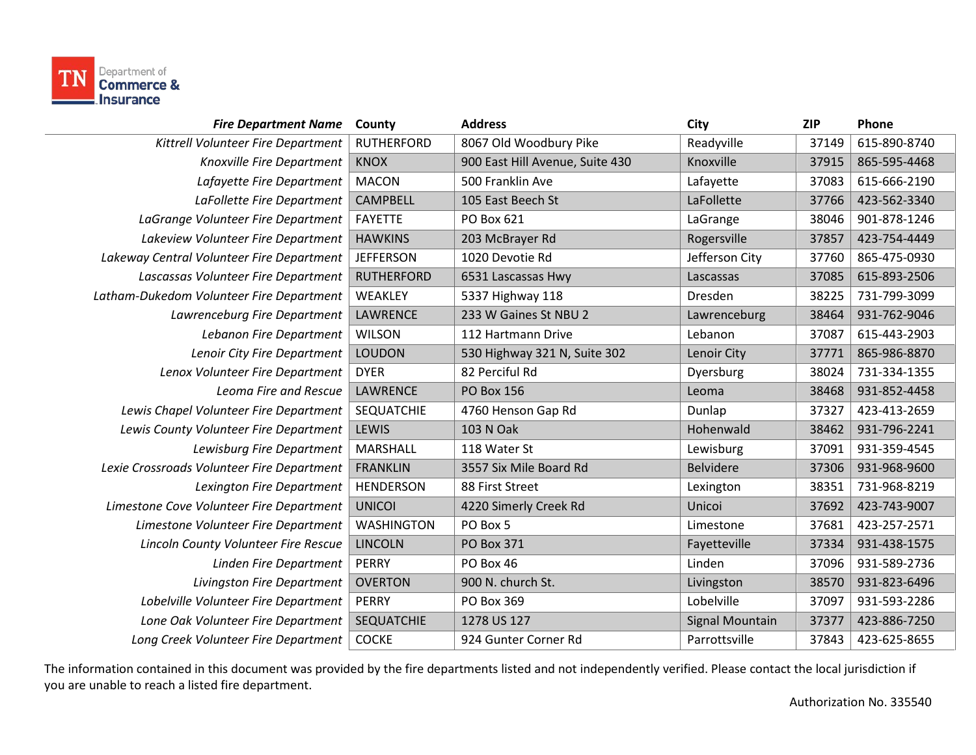

| <b>Fire Department Name</b>                | County            | <b>Address</b>                  | City                   | <b>ZIP</b> | Phone        |
|--------------------------------------------|-------------------|---------------------------------|------------------------|------------|--------------|
| Kittrell Volunteer Fire Department         | <b>RUTHERFORD</b> | 8067 Old Woodbury Pike          | Readyville             | 37149      | 615-890-8740 |
| Knoxville Fire Department                  | <b>KNOX</b>       | 900 East Hill Avenue, Suite 430 | Knoxville              | 37915      | 865-595-4468 |
| Lafayette Fire Department                  | <b>MACON</b>      | 500 Franklin Ave                | Lafayette              | 37083      | 615-666-2190 |
| LaFollette Fire Department                 | <b>CAMPBELL</b>   | 105 East Beech St               | LaFollette             | 37766      | 423-562-3340 |
| LaGrange Volunteer Fire Department         | <b>FAYETTE</b>    | PO Box 621                      | LaGrange               | 38046      | 901-878-1246 |
| Lakeview Volunteer Fire Department         | <b>HAWKINS</b>    | 203 McBrayer Rd                 | Rogersville            | 37857      | 423-754-4449 |
| Lakeway Central Volunteer Fire Department  | <b>JEFFERSON</b>  | 1020 Devotie Rd                 | Jefferson City         | 37760      | 865-475-0930 |
| Lascassas Volunteer Fire Department        | <b>RUTHERFORD</b> | 6531 Lascassas Hwy              | Lascassas              | 37085      | 615-893-2506 |
| Latham-Dukedom Volunteer Fire Department   | WEAKLEY           | 5337 Highway 118                | Dresden                | 38225      | 731-799-3099 |
| Lawrenceburg Fire Department               | <b>LAWRENCE</b>   | 233 W Gaines St NBU 2           | Lawrenceburg           | 38464      | 931-762-9046 |
| Lebanon Fire Department                    | <b>WILSON</b>     | 112 Hartmann Drive              | Lebanon                | 37087      | 615-443-2903 |
| Lenoir City Fire Department                | <b>LOUDON</b>     | 530 Highway 321 N, Suite 302    | Lenoir City            | 37771      | 865-986-8870 |
| Lenox Volunteer Fire Department            | <b>DYER</b>       | 82 Perciful Rd                  | Dyersburg              | 38024      | 731-334-1355 |
| Leoma Fire and Rescue                      | <b>LAWRENCE</b>   | <b>PO Box 156</b>               | Leoma                  | 38468      | 931-852-4458 |
| Lewis Chapel Volunteer Fire Department     | <b>SEQUATCHIE</b> | 4760 Henson Gap Rd              | Dunlap                 | 37327      | 423-413-2659 |
| Lewis County Volunteer Fire Department     | LEWIS             | 103 N Oak                       | Hohenwald              | 38462      | 931-796-2241 |
| Lewisburg Fire Department                  | <b>MARSHALL</b>   | 118 Water St                    | Lewisburg              | 37091      | 931-359-4545 |
| Lexie Crossroads Volunteer Fire Department | <b>FRANKLIN</b>   | 3557 Six Mile Board Rd          | <b>Belvidere</b>       | 37306      | 931-968-9600 |
| Lexington Fire Department                  | <b>HENDERSON</b>  | 88 First Street                 | Lexington              | 38351      | 731-968-8219 |
| Limestone Cove Volunteer Fire Department   | <b>UNICOI</b>     | 4220 Simerly Creek Rd           | Unicoi                 | 37692      | 423-743-9007 |
| Limestone Volunteer Fire Department        | <b>WASHINGTON</b> | PO Box 5                        | Limestone              | 37681      | 423-257-2571 |
| Lincoln County Volunteer Fire Rescue       | <b>LINCOLN</b>    | <b>PO Box 371</b>               | Fayetteville           | 37334      | 931-438-1575 |
| Linden Fire Department                     | <b>PERRY</b>      | PO Box 46                       | Linden                 | 37096      | 931-589-2736 |
| Livingston Fire Department                 | <b>OVERTON</b>    | 900 N. church St.               | Livingston             | 38570      | 931-823-6496 |
| Lobelville Volunteer Fire Department       | <b>PERRY</b>      | PO Box 369                      | Lobelville             | 37097      | 931-593-2286 |
| Lone Oak Volunteer Fire Department         | <b>SEQUATCHIE</b> | 1278 US 127                     | <b>Signal Mountain</b> | 37377      | 423-886-7250 |
| Long Creek Volunteer Fire Department       | <b>COCKE</b>      | 924 Gunter Corner Rd            | Parrottsville          | 37843      | 423-625-8655 |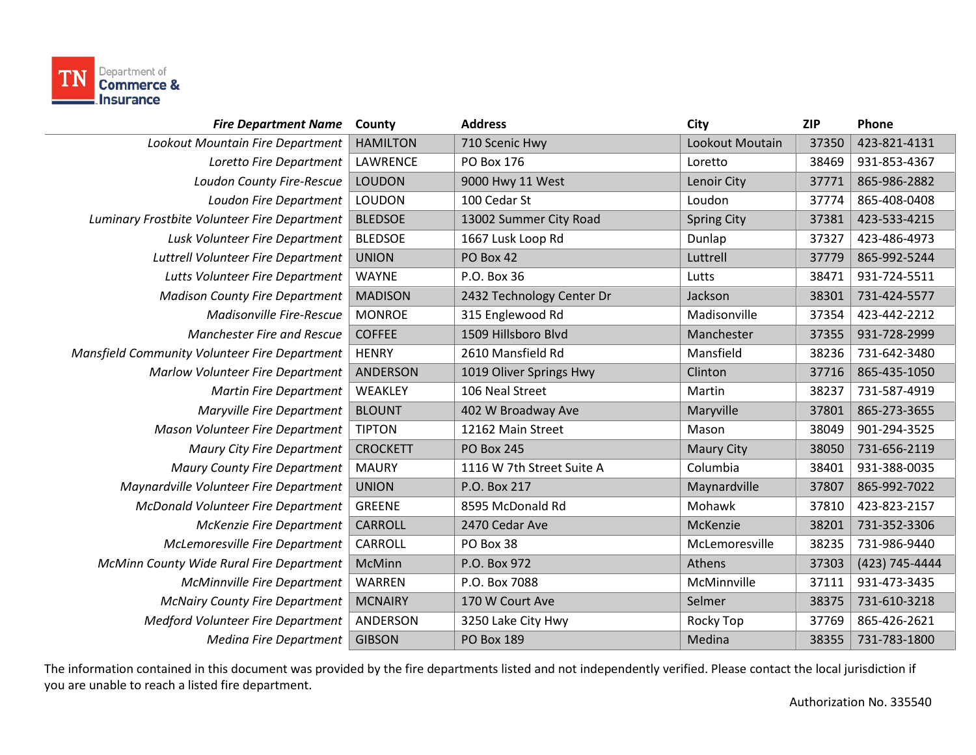

| <b>Fire Department Name</b>                   | County          | <b>Address</b>            | City               | <b>ZIP</b> | Phone          |
|-----------------------------------------------|-----------------|---------------------------|--------------------|------------|----------------|
| Lookout Mountain Fire Department              | <b>HAMILTON</b> | 710 Scenic Hwy            | Lookout Moutain    | 37350      | 423-821-4131   |
| Loretto Fire Department                       | LAWRENCE        | PO Box 176                | Loretto            | 38469      | 931-853-4367   |
| Loudon County Fire-Rescue                     | <b>LOUDON</b>   | 9000 Hwy 11 West          | Lenoir City        | 37771      | 865-986-2882   |
| Loudon Fire Department                        | LOUDON          | 100 Cedar St              | Loudon             | 37774      | 865-408-0408   |
| Luminary Frostbite Volunteer Fire Department  | <b>BLEDSOE</b>  | 13002 Summer City Road    | <b>Spring City</b> | 37381      | 423-533-4215   |
| Lusk Volunteer Fire Department                | <b>BLEDSOE</b>  | 1667 Lusk Loop Rd         | Dunlap             | 37327      | 423-486-4973   |
| Luttrell Volunteer Fire Department            | <b>UNION</b>    | PO Box 42                 | Luttrell           | 37779      | 865-992-5244   |
| Lutts Volunteer Fire Department               | <b>WAYNE</b>    | P.O. Box 36               | Lutts              | 38471      | 931-724-5511   |
| <b>Madison County Fire Department</b>         | <b>MADISON</b>  | 2432 Technology Center Dr | Jackson            | 38301      | 731-424-5577   |
| <b>Madisonville Fire-Rescue</b>               | <b>MONROE</b>   | 315 Englewood Rd          | Madisonville       | 37354      | 423-442-2212   |
| <b>Manchester Fire and Rescue</b>             | <b>COFFEE</b>   | 1509 Hillsboro Blvd       | Manchester         | 37355      | 931-728-2999   |
| Mansfield Community Volunteer Fire Department | <b>HENRY</b>    | 2610 Mansfield Rd         | Mansfield          | 38236      | 731-642-3480   |
| Marlow Volunteer Fire Department              | <b>ANDERSON</b> | 1019 Oliver Springs Hwy   | Clinton            | 37716      | 865-435-1050   |
| <b>Martin Fire Department</b>                 | WEAKLEY         | 106 Neal Street           | Martin             | 38237      | 731-587-4919   |
| <b>Maryville Fire Department</b>              | <b>BLOUNT</b>   | 402 W Broadway Ave        | Maryville          | 37801      | 865-273-3655   |
| Mason Volunteer Fire Department               | <b>TIPTON</b>   | 12162 Main Street         | Mason              | 38049      | 901-294-3525   |
| <b>Maury City Fire Department</b>             | <b>CROCKETT</b> | <b>PO Box 245</b>         | <b>Maury City</b>  | 38050      | 731-656-2119   |
| <b>Maury County Fire Department</b>           | <b>MAURY</b>    | 1116 W 7th Street Suite A | Columbia           | 38401      | 931-388-0035   |
| Maynardville Volunteer Fire Department        | <b>UNION</b>    | P.O. Box 217              | Maynardville       | 37807      | 865-992-7022   |
| <b>McDonald Volunteer Fire Department</b>     | <b>GREENE</b>   | 8595 McDonald Rd          | Mohawk             | 37810      | 423-823-2157   |
| <b>McKenzie Fire Department</b>               | <b>CARROLL</b>  | 2470 Cedar Ave            | McKenzie           | 38201      | 731-352-3306   |
| McLemoresville Fire Department                | <b>CARROLL</b>  | PO Box 38                 | McLemoresville     | 38235      | 731-986-9440   |
| McMinn County Wide Rural Fire Department      | McMinn          | P.O. Box 972              | Athens             | 37303      | (423) 745-4444 |
| <b>McMinnville Fire Department</b>            | <b>WARREN</b>   | P.O. Box 7088             | McMinnville        | 37111      | 931-473-3435   |
| <b>McNairy County Fire Department</b>         | <b>MCNAIRY</b>  | 170 W Court Ave           | Selmer             | 38375      | 731-610-3218   |
| <b>Medford Volunteer Fire Department</b>      | ANDERSON        | 3250 Lake City Hwy        | Rocky Top          | 37769      | 865-426-2621   |
| <b>Medina Fire Department</b>                 | <b>GIBSON</b>   | <b>PO Box 189</b>         | Medina             | 38355      | 731-783-1800   |
|                                               |                 |                           |                    |            |                |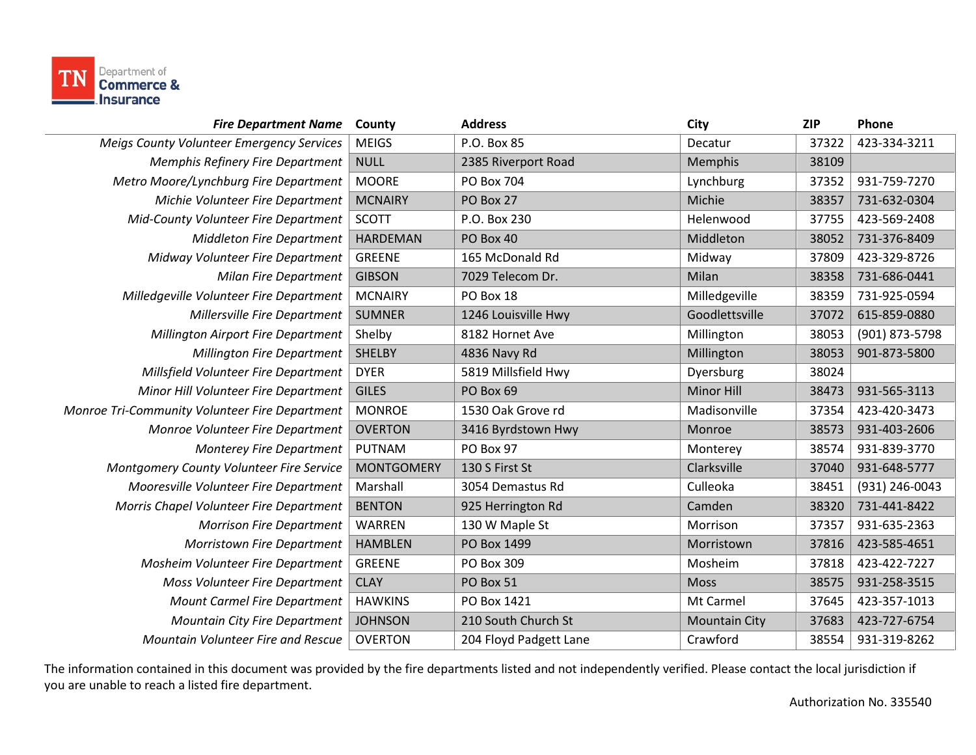

| <b>Fire Department Name</b>                    | County            | <b>Address</b>         | City                 | <b>ZIP</b> | Phone          |
|------------------------------------------------|-------------------|------------------------|----------------------|------------|----------------|
| Meigs County Volunteer Emergency Services      | <b>MEIGS</b>      | P.O. Box 85            | Decatur              | 37322      | 423-334-3211   |
| <b>Memphis Refinery Fire Department</b>        | <b>NULL</b>       | 2385 Riverport Road    | Memphis              | 38109      |                |
| Metro Moore/Lynchburg Fire Department          | <b>MOORE</b>      | PO Box 704             | Lynchburg            | 37352      | 931-759-7270   |
| Michie Volunteer Fire Department               | <b>MCNAIRY</b>    | PO Box 27              | Michie               | 38357      | 731-632-0304   |
| Mid-County Volunteer Fire Department           | <b>SCOTT</b>      | P.O. Box 230           | Helenwood            | 37755      | 423-569-2408   |
| <b>Middleton Fire Department</b>               | <b>HARDEMAN</b>   | PO Box 40              | Middleton            | 38052      | 731-376-8409   |
| Midway Volunteer Fire Department               | <b>GREENE</b>     | 165 McDonald Rd        | Midway               | 37809      | 423-329-8726   |
| <b>Milan Fire Department</b>                   | <b>GIBSON</b>     | 7029 Telecom Dr.       | Milan                | 38358      | 731-686-0441   |
| Milledgeville Volunteer Fire Department        | <b>MCNAIRY</b>    | PO Box 18              | Milledgeville        | 38359      | 731-925-0594   |
| Millersville Fire Department                   | <b>SUMNER</b>     | 1246 Louisville Hwy    | Goodlettsville       | 37072      | 615-859-0880   |
| <b>Millington Airport Fire Department</b>      | Shelby            | 8182 Hornet Ave        | Millington           | 38053      | (901) 873-5798 |
| <b>Millington Fire Department</b>              | <b>SHELBY</b>     | 4836 Navy Rd           | Millington           | 38053      | 901-873-5800   |
| Millsfield Volunteer Fire Department           | <b>DYER</b>       | 5819 Millsfield Hwy    | Dyersburg            | 38024      |                |
| Minor Hill Volunteer Fire Department           | <b>GILES</b>      | PO Box 69              | Minor Hill           | 38473      | 931-565-3113   |
| Monroe Tri-Community Volunteer Fire Department | <b>MONROE</b>     | 1530 Oak Grove rd      | Madisonville         | 37354      | 423-420-3473   |
| Monroe Volunteer Fire Department               | <b>OVERTON</b>    | 3416 Byrdstown Hwy     | Monroe               | 38573      | 931-403-2606   |
| <b>Monterey Fire Department</b>                | <b>PUTNAM</b>     | PO Box 97              | Monterey             | 38574      | 931-839-3770   |
| Montgomery County Volunteer Fire Service       | <b>MONTGOMERY</b> | 130 S First St         | Clarksville          | 37040      | 931-648-5777   |
| Mooresville Volunteer Fire Department          | Marshall          | 3054 Demastus Rd       | Culleoka             | 38451      | (931) 246-0043 |
| Morris Chapel Volunteer Fire Department        | <b>BENTON</b>     | 925 Herrington Rd      | Camden               | 38320      | 731-441-8422   |
| <b>Morrison Fire Department</b>                | <b>WARREN</b>     | 130 W Maple St         | Morrison             | 37357      | 931-635-2363   |
| <b>Morristown Fire Department</b>              | <b>HAMBLEN</b>    | PO Box 1499            | Morristown           | 37816      | 423-585-4651   |
| Mosheim Volunteer Fire Department              | <b>GREENE</b>     | PO Box 309             | Mosheim              | 37818      | 423-422-7227   |
| Moss Volunteer Fire Department                 | <b>CLAY</b>       | PO Box 51              | <b>Moss</b>          | 38575      | 931-258-3515   |
| <b>Mount Carmel Fire Department</b>            | <b>HAWKINS</b>    | PO Box 1421            | Mt Carmel            | 37645      | 423-357-1013   |
| <b>Mountain City Fire Department</b>           | <b>JOHNSON</b>    | 210 South Church St    | <b>Mountain City</b> | 37683      | 423-727-6754   |
| Mountain Volunteer Fire and Rescue             | <b>OVERTON</b>    | 204 Floyd Padgett Lane | Crawford             | 38554      | 931-319-8262   |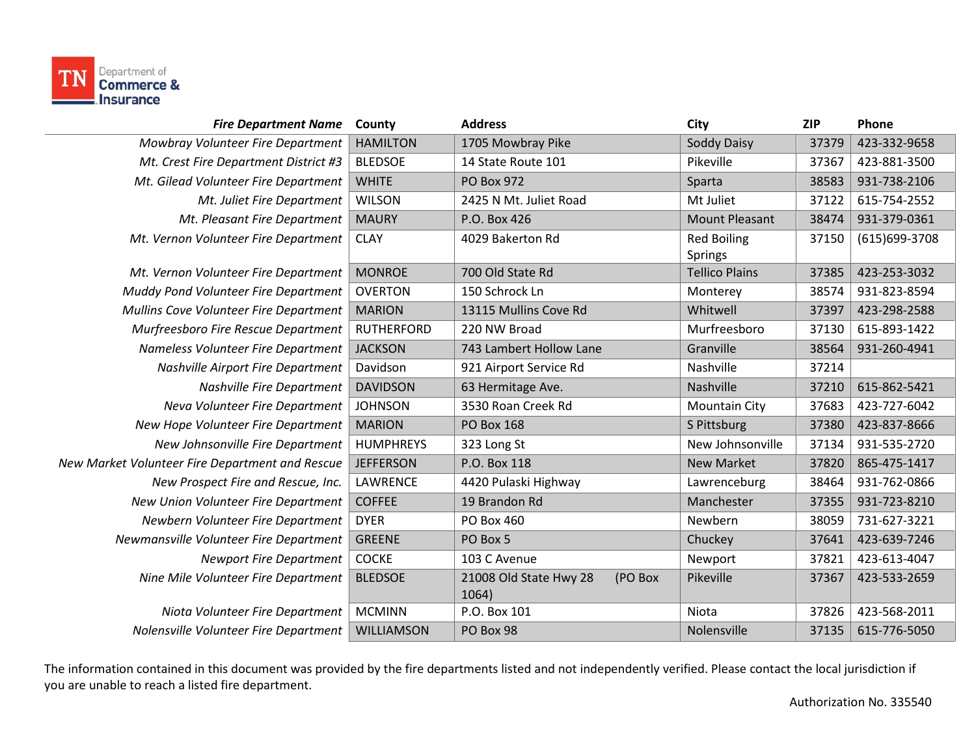

| <b>Fire Department Name</b>                     | County            | <b>Address</b>                             | City                          | <b>ZIP</b> | Phone         |
|-------------------------------------------------|-------------------|--------------------------------------------|-------------------------------|------------|---------------|
| Mowbray Volunteer Fire Department               | <b>HAMILTON</b>   | 1705 Mowbray Pike                          | <b>Soddy Daisy</b>            | 37379      | 423-332-9658  |
| Mt. Crest Fire Department District #3           | <b>BLEDSOE</b>    | 14 State Route 101                         | Pikeville                     | 37367      | 423-881-3500  |
| Mt. Gilead Volunteer Fire Department            | <b>WHITE</b>      | PO Box 972                                 | Sparta                        | 38583      | 931-738-2106  |
| Mt. Juliet Fire Department                      | <b>WILSON</b>     | 2425 N Mt. Juliet Road                     | Mt Juliet                     | 37122      | 615-754-2552  |
| Mt. Pleasant Fire Department                    | <b>MAURY</b>      | P.O. Box 426                               | <b>Mount Pleasant</b>         | 38474      | 931-379-0361  |
| Mt. Vernon Volunteer Fire Department            | <b>CLAY</b>       | 4029 Bakerton Rd                           | <b>Red Boiling</b><br>Springs | 37150      | (615)699-3708 |
| Mt. Vernon Volunteer Fire Department            | <b>MONROE</b>     | 700 Old State Rd                           | <b>Tellico Plains</b>         | 37385      | 423-253-3032  |
| Muddy Pond Volunteer Fire Department            | <b>OVERTON</b>    | 150 Schrock Ln                             | Monterey                      | 38574      | 931-823-8594  |
| Mullins Cove Volunteer Fire Department          | <b>MARION</b>     | 13115 Mullins Cove Rd                      | Whitwell                      | 37397      | 423-298-2588  |
| Murfreesboro Fire Rescue Department             | <b>RUTHERFORD</b> | 220 NW Broad                               | Murfreesboro                  | 37130      | 615-893-1422  |
| Nameless Volunteer Fire Department              | <b>JACKSON</b>    | 743 Lambert Hollow Lane                    | Granville                     | 38564      | 931-260-4941  |
| <b>Nashville Airport Fire Department</b>        | Davidson          | 921 Airport Service Rd                     | Nashville                     | 37214      |               |
| Nashville Fire Department                       | <b>DAVIDSON</b>   | 63 Hermitage Ave.                          | Nashville                     | 37210      | 615-862-5421  |
| Neva Volunteer Fire Department                  | <b>JOHNSON</b>    | 3530 Roan Creek Rd                         | <b>Mountain City</b>          | 37683      | 423-727-6042  |
| New Hope Volunteer Fire Department              | <b>MARION</b>     | <b>PO Box 168</b>                          | S Pittsburg                   | 37380      | 423-837-8666  |
| New Johnsonville Fire Department                | <b>HUMPHREYS</b>  | 323 Long St                                | New Johnsonville              | 37134      | 931-535-2720  |
| New Market Volunteer Fire Department and Rescue | <b>JEFFERSON</b>  | P.O. Box 118                               | <b>New Market</b>             | 37820      | 865-475-1417  |
| New Prospect Fire and Rescue, Inc.              | LAWRENCE          | 4420 Pulaski Highway                       | Lawrenceburg                  | 38464      | 931-762-0866  |
| New Union Volunteer Fire Department             | <b>COFFEE</b>     | 19 Brandon Rd                              | Manchester                    | 37355      | 931-723-8210  |
| Newbern Volunteer Fire Department               | <b>DYER</b>       | PO Box 460                                 | Newbern                       | 38059      | 731-627-3221  |
| Newmansville Volunteer Fire Department          | <b>GREENE</b>     | PO Box 5                                   | Chuckey                       | 37641      | 423-639-7246  |
| <b>Newport Fire Department</b>                  | <b>COCKE</b>      | 103 C Avenue                               | Newport                       | 37821      | 423-613-4047  |
| Nine Mile Volunteer Fire Department             | <b>BLEDSOE</b>    | 21008 Old State Hwy 28<br>(PO Box<br>1064) | Pikeville                     | 37367      | 423-533-2659  |
| Niota Volunteer Fire Department                 | <b>MCMINN</b>     | P.O. Box 101                               | Niota                         | 37826      | 423-568-2011  |
| Nolensville Volunteer Fire Department           | WILLIAMSON        | PO Box 98                                  | Nolensville                   | 37135      | 615-776-5050  |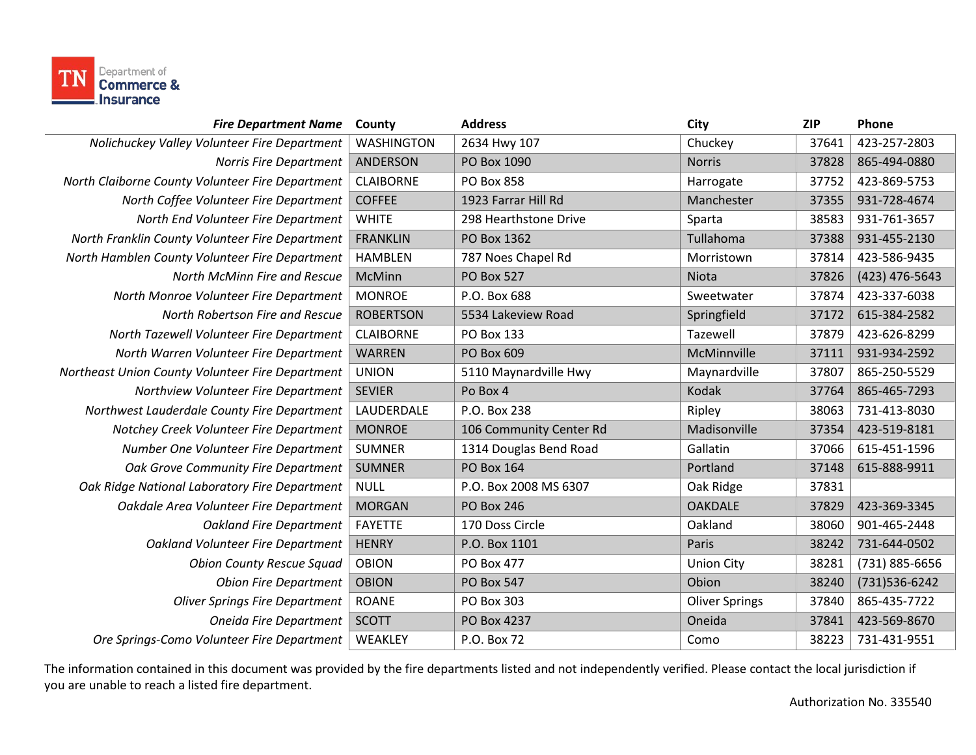

| <b>Fire Department Name</b>                      | County            | <b>Address</b>          | City                  | <b>ZIP</b> | Phone          |
|--------------------------------------------------|-------------------|-------------------------|-----------------------|------------|----------------|
| Nolichuckey Valley Volunteer Fire Department     | <b>WASHINGTON</b> | 2634 Hwy 107            | Chuckey               | 37641      | 423-257-2803   |
| Norris Fire Department                           | <b>ANDERSON</b>   | PO Box 1090             | <b>Norris</b>         | 37828      | 865-494-0880   |
| North Claiborne County Volunteer Fire Department | <b>CLAIBORNE</b>  | PO Box 858              | Harrogate             | 37752      | 423-869-5753   |
| North Coffee Volunteer Fire Department           | <b>COFFEE</b>     | 1923 Farrar Hill Rd     | Manchester            | 37355      | 931-728-4674   |
| North End Volunteer Fire Department              | <b>WHITE</b>      | 298 Hearthstone Drive   | Sparta                | 38583      | 931-761-3657   |
| North Franklin County Volunteer Fire Department  | <b>FRANKLIN</b>   | PO Box 1362             | Tullahoma             | 37388      | 931-455-2130   |
| North Hamblen County Volunteer Fire Department   | <b>HAMBLEN</b>    | 787 Noes Chapel Rd      | Morristown            | 37814      | 423-586-9435   |
| North McMinn Fire and Rescue                     | McMinn            | <b>PO Box 527</b>       | Niota                 | 37826      | (423) 476-5643 |
| North Monroe Volunteer Fire Department           | <b>MONROE</b>     | P.O. Box 688            | Sweetwater            | 37874      | 423-337-6038   |
| North Robertson Fire and Rescue                  | <b>ROBERTSON</b>  | 5534 Lakeview Road      | Springfield           | 37172      | 615-384-2582   |
| North Tazewell Volunteer Fire Department         | <b>CLAIBORNE</b>  | PO Box 133              | Tazewell              | 37879      | 423-626-8299   |
| North Warren Volunteer Fire Department           | <b>WARREN</b>     | PO Box 609              | McMinnville           | 37111      | 931-934-2592   |
| Northeast Union County Volunteer Fire Department | <b>UNION</b>      | 5110 Maynardville Hwy   | Maynardville          | 37807      | 865-250-5529   |
| Northview Volunteer Fire Department              | <b>SEVIER</b>     | Po Box 4                | Kodak                 | 37764      | 865-465-7293   |
| Northwest Lauderdale County Fire Department      | LAUDERDALE        | P.O. Box 238            | Ripley                | 38063      | 731-413-8030   |
| Notchey Creek Volunteer Fire Department          | <b>MONROE</b>     | 106 Community Center Rd | Madisonville          | 37354      | 423-519-8181   |
| Number One Volunteer Fire Department             | <b>SUMNER</b>     | 1314 Douglas Bend Road  | Gallatin              | 37066      | 615-451-1596   |
| Oak Grove Community Fire Department              | <b>SUMNER</b>     | <b>PO Box 164</b>       | Portland              | 37148      | 615-888-9911   |
| Oak Ridge National Laboratory Fire Department    | <b>NULL</b>       | P.O. Box 2008 MS 6307   | Oak Ridge             | 37831      |                |
| Oakdale Area Volunteer Fire Department           | <b>MORGAN</b>     | <b>PO Box 246</b>       | <b>OAKDALE</b>        | 37829      | 423-369-3345   |
| <b>Oakland Fire Department</b>                   | <b>FAYETTE</b>    | 170 Doss Circle         | Oakland               | 38060      | 901-465-2448   |
| Oakland Volunteer Fire Department                | <b>HENRY</b>      | P.O. Box 1101           | Paris                 | 38242      | 731-644-0502   |
| <b>Obion County Rescue Squad</b>                 | <b>OBION</b>      | PO Box 477              | <b>Union City</b>     | 38281      | (731) 885-6656 |
| <b>Obion Fire Department</b>                     | <b>OBION</b>      | <b>PO Box 547</b>       | Obion                 | 38240      | (731) 536-6242 |
| <b>Oliver Springs Fire Department</b>            | <b>ROANE</b>      | PO Box 303              | <b>Oliver Springs</b> | 37840      | 865-435-7722   |
| Oneida Fire Department                           | <b>SCOTT</b>      | PO Box 4237             | Oneida                | 37841      | 423-569-8670   |
| Ore Springs-Como Volunteer Fire Department       | WEAKLEY           | P.O. Box 72             | Como                  | 38223      | 731-431-9551   |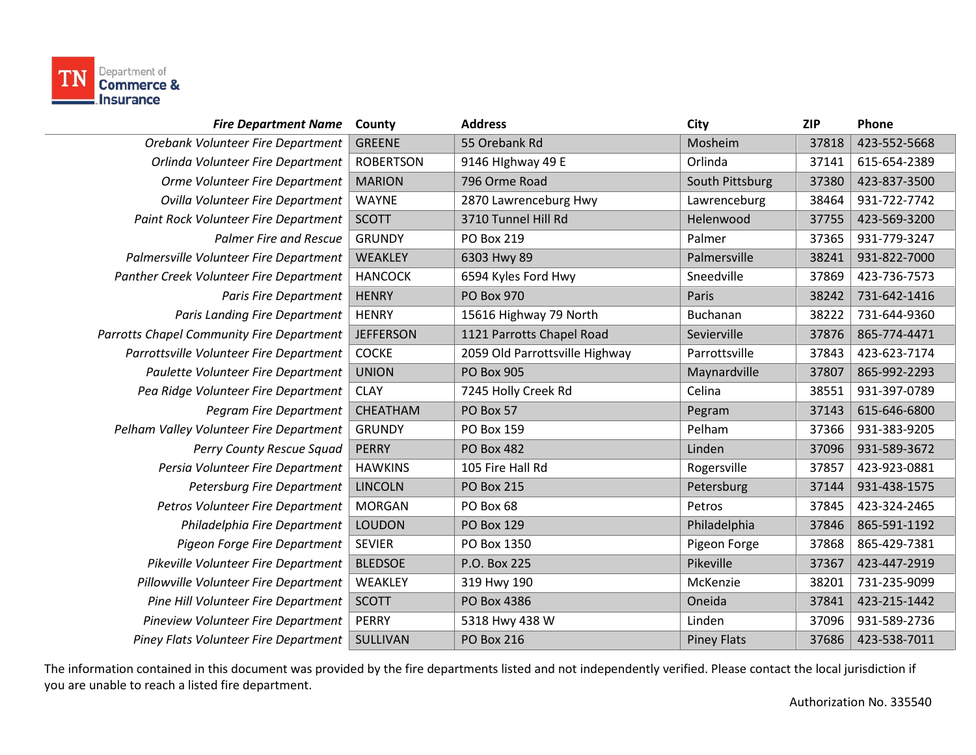

| <b>Fire Department Name</b>               | County           | <b>Address</b>                 | City               | <b>ZIP</b> | Phone        |
|-------------------------------------------|------------------|--------------------------------|--------------------|------------|--------------|
| Orebank Volunteer Fire Department         | <b>GREENE</b>    | 55 Orebank Rd                  | Mosheim            | 37818      | 423-552-5668 |
| Orlinda Volunteer Fire Department         | <b>ROBERTSON</b> | 9146 Hlghway 49 E              | Orlinda            | 37141      | 615-654-2389 |
| Orme Volunteer Fire Department            | <b>MARION</b>    | 796 Orme Road                  | South Pittsburg    | 37380      | 423-837-3500 |
| Ovilla Volunteer Fire Department          | <b>WAYNE</b>     | 2870 Lawrenceburg Hwy          | Lawrenceburg       | 38464      | 931-722-7742 |
| Paint Rock Volunteer Fire Department      | <b>SCOTT</b>     | 3710 Tunnel Hill Rd            | Helenwood          | 37755      | 423-569-3200 |
| <b>Palmer Fire and Rescue</b>             | <b>GRUNDY</b>    | PO Box 219                     | Palmer             | 37365      | 931-779-3247 |
| Palmersville Volunteer Fire Department    | WEAKLEY          | 6303 Hwy 89                    | Palmersville       | 38241      | 931-822-7000 |
| Panther Creek Volunteer Fire Department   | <b>HANCOCK</b>   | 6594 Kyles Ford Hwy            | Sneedville         | 37869      | 423-736-7573 |
| <b>Paris Fire Department</b>              | <b>HENRY</b>     | <b>PO Box 970</b>              | Paris              | 38242      | 731-642-1416 |
| <b>Paris Landing Fire Department</b>      | <b>HENRY</b>     | 15616 Highway 79 North         | Buchanan           | 38222      | 731-644-9360 |
| Parrotts Chapel Community Fire Department | <b>JEFFERSON</b> | 1121 Parrotts Chapel Road      | Sevierville        | 37876      | 865-774-4471 |
| Parrottsville Volunteer Fire Department   | <b>COCKE</b>     | 2059 Old Parrottsville Highway | Parrottsville      | 37843      | 423-623-7174 |
| Paulette Volunteer Fire Department        | <b>UNION</b>     | <b>PO Box 905</b>              | Maynardville       | 37807      | 865-992-2293 |
| Pea Ridge Volunteer Fire Department       | <b>CLAY</b>      | 7245 Holly Creek Rd            | Celina             | 38551      | 931-397-0789 |
| Pegram Fire Department                    | CHEATHAM         | PO Box 57                      | Pegram             | 37143      | 615-646-6800 |
| Pelham Valley Volunteer Fire Department   | <b>GRUNDY</b>    | PO Box 159                     | Pelham             | 37366      | 931-383-9205 |
| Perry County Rescue Squad                 | <b>PERRY</b>     | <b>PO Box 482</b>              | Linden             | 37096      | 931-589-3672 |
| Persia Volunteer Fire Department          | <b>HAWKINS</b>   | 105 Fire Hall Rd               | Rogersville        | 37857      | 423-923-0881 |
| Petersburg Fire Department                | <b>LINCOLN</b>   | <b>PO Box 215</b>              | Petersburg         | 37144      | 931-438-1575 |
| Petros Volunteer Fire Department          | <b>MORGAN</b>    | PO Box 68                      | Petros             | 37845      | 423-324-2465 |
| Philadelphia Fire Department              | <b>LOUDON</b>    | <b>PO Box 129</b>              | Philadelphia       | 37846      | 865-591-1192 |
| Pigeon Forge Fire Department              | <b>SEVIER</b>    | PO Box 1350                    | Pigeon Forge       | 37868      | 865-429-7381 |
| Pikeville Volunteer Fire Department       | <b>BLEDSOE</b>   | P.O. Box 225                   | Pikeville          | 37367      | 423-447-2919 |
| Pillowville Volunteer Fire Department     | WEAKLEY          | 319 Hwy 190                    | McKenzie           | 38201      | 731-235-9099 |
| Pine Hill Volunteer Fire Department       | <b>SCOTT</b>     | PO Box 4386                    | Oneida             | 37841      | 423-215-1442 |
| Pineview Volunteer Fire Department        | <b>PERRY</b>     | 5318 Hwy 438 W                 | Linden             | 37096      | 931-589-2736 |
| Piney Flats Volunteer Fire Department     | SULLIVAN         | <b>PO Box 216</b>              | <b>Piney Flats</b> | 37686      | 423-538-7011 |
|                                           |                  |                                |                    |            |              |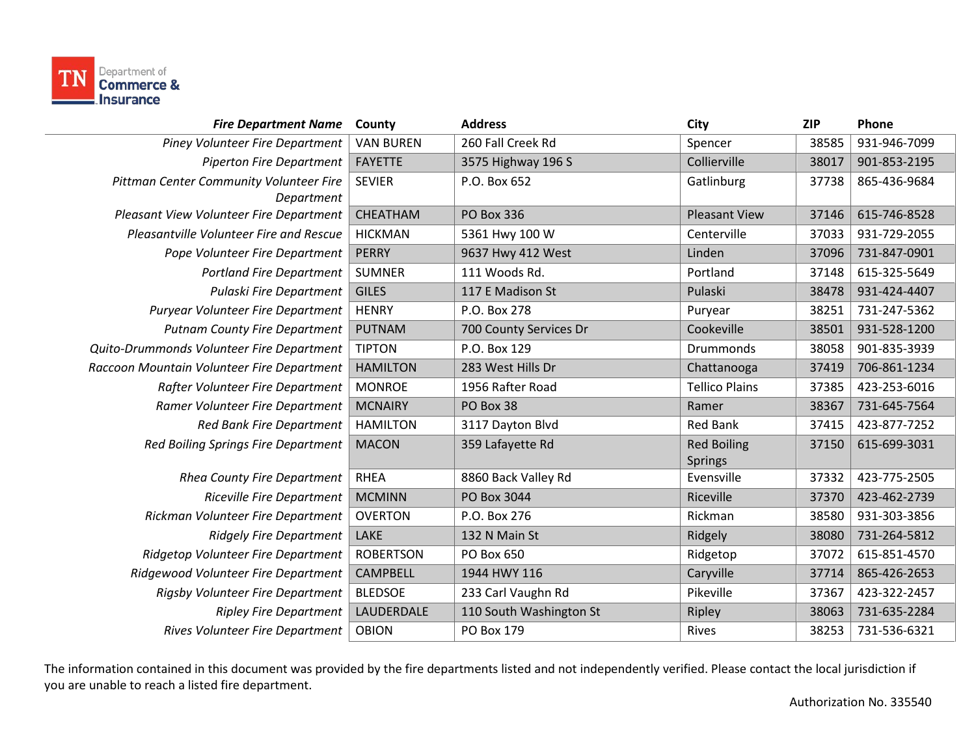

| <b>Fire Department Name</b>                           | County           | <b>Address</b>          | City                                 | <b>ZIP</b> | Phone        |
|-------------------------------------------------------|------------------|-------------------------|--------------------------------------|------------|--------------|
| Piney Volunteer Fire Department                       | <b>VAN BUREN</b> | 260 Fall Creek Rd       | Spencer                              | 38585      | 931-946-7099 |
| <b>Piperton Fire Department</b>                       | <b>FAYETTE</b>   | 3575 Highway 196 S      | Collierville                         | 38017      | 901-853-2195 |
| Pittman Center Community Volunteer Fire<br>Department | <b>SEVIER</b>    | P.O. Box 652            | Gatlinburg                           | 37738      | 865-436-9684 |
| Pleasant View Volunteer Fire Department               | CHEATHAM         | <b>PO Box 336</b>       | <b>Pleasant View</b>                 | 37146      | 615-746-8528 |
| Pleasantville Volunteer Fire and Rescue               | <b>HICKMAN</b>   | 5361 Hwy 100 W          | Centerville                          | 37033      | 931-729-2055 |
| Pope Volunteer Fire Department                        | <b>PERRY</b>     | 9637 Hwy 412 West       | Linden                               | 37096      | 731-847-0901 |
| <b>Portland Fire Department</b>                       | <b>SUMNER</b>    | 111 Woods Rd.           | Portland                             | 37148      | 615-325-5649 |
| Pulaski Fire Department                               | <b>GILES</b>     | 117 E Madison St        | Pulaski                              | 38478      | 931-424-4407 |
| Puryear Volunteer Fire Department                     | <b>HENRY</b>     | P.O. Box 278            | Puryear                              | 38251      | 731-247-5362 |
| <b>Putnam County Fire Department</b>                  | <b>PUTNAM</b>    | 700 County Services Dr  | Cookeville                           | 38501      | 931-528-1200 |
| Quito-Drummonds Volunteer Fire Department             | <b>TIPTON</b>    | P.O. Box 129            | Drummonds                            | 38058      | 901-835-3939 |
| Raccoon Mountain Volunteer Fire Department            | <b>HAMILTON</b>  | 283 West Hills Dr       | Chattanooga                          | 37419      | 706-861-1234 |
| Rafter Volunteer Fire Department                      | <b>MONROE</b>    | 1956 Rafter Road        | <b>Tellico Plains</b>                | 37385      | 423-253-6016 |
| Ramer Volunteer Fire Department                       | <b>MCNAIRY</b>   | PO Box 38               | Ramer                                | 38367      | 731-645-7564 |
| <b>Red Bank Fire Department</b>                       | <b>HAMILTON</b>  | 3117 Dayton Blvd        | <b>Red Bank</b>                      | 37415      | 423-877-7252 |
| <b>Red Boiling Springs Fire Department</b>            | <b>MACON</b>     | 359 Lafayette Rd        | <b>Red Boiling</b><br><b>Springs</b> | 37150      | 615-699-3031 |
| <b>Rhea County Fire Department</b>                    | <b>RHEA</b>      | 8860 Back Valley Rd     | Evensville                           | 37332      | 423-775-2505 |
| <b>Riceville Fire Department</b>                      | <b>MCMINN</b>    | PO Box 3044             | Riceville                            | 37370      | 423-462-2739 |
| Rickman Volunteer Fire Department                     | <b>OVERTON</b>   | P.O. Box 276            | Rickman                              | 38580      | 931-303-3856 |
| <b>Ridgely Fire Department</b>                        | LAKE             | 132 N Main St           | Ridgely                              | 38080      | 731-264-5812 |
| Ridgetop Volunteer Fire Department                    | <b>ROBERTSON</b> | PO Box 650              | Ridgetop                             | 37072      | 615-851-4570 |
| Ridgewood Volunteer Fire Department                   | <b>CAMPBELL</b>  | 1944 HWY 116            | Caryville                            | 37714      | 865-426-2653 |
| Rigsby Volunteer Fire Department                      | <b>BLEDSOE</b>   | 233 Carl Vaughn Rd      | Pikeville                            | 37367      | 423-322-2457 |
| <b>Ripley Fire Department</b>                         | LAUDERDALE       | 110 South Washington St | Ripley                               | 38063      | 731-635-2284 |
| Rives Volunteer Fire Department                       | <b>OBION</b>     | PO Box 179              | Rives                                | 38253      | 731-536-6321 |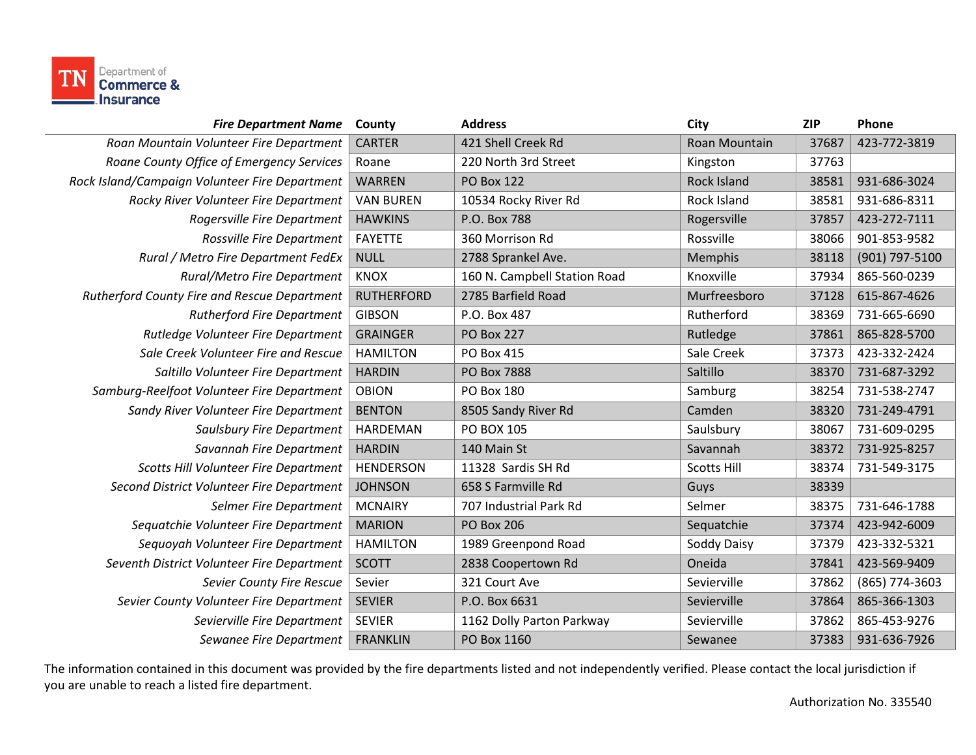

| <b>Fire Department Name</b>                    | County            | <b>Address</b>               | City               | <b>ZIP</b> | Phone          |
|------------------------------------------------|-------------------|------------------------------|--------------------|------------|----------------|
| Roan Mountain Volunteer Fire Department        | <b>CARTER</b>     | 421 Shell Creek Rd           | Roan Mountain      | 37687      | 423-772-3819   |
| Roane County Office of Emergency Services      | Roane             | 220 North 3rd Street         | Kingston           | 37763      |                |
| Rock Island/Campaign Volunteer Fire Department | <b>WARREN</b>     | <b>PO Box 122</b>            | <b>Rock Island</b> | 38581      | 931-686-3024   |
| Rocky River Volunteer Fire Department          | <b>VAN BUREN</b>  | 10534 Rocky River Rd         | Rock Island        | 38581      | 931-686-8311   |
| Rogersville Fire Department                    | <b>HAWKINS</b>    | P.O. Box 788                 | Rogersville        | 37857      | 423-272-7111   |
| Rossville Fire Department                      | <b>FAYETTE</b>    | 360 Morrison Rd              | Rossville          | 38066      | 901-853-9582   |
| Rural / Metro Fire Department FedEx            | <b>NULL</b>       | 2788 Sprankel Ave.           | Memphis            | 38118      | (901) 797-5100 |
| Rural/Metro Fire Department                    | <b>KNOX</b>       | 160 N. Campbell Station Road | Knoxville          | 37934      | 865-560-0239   |
| Rutherford County Fire and Rescue Department   | <b>RUTHERFORD</b> | 2785 Barfield Road           | Murfreesboro       | 37128      | 615-867-4626   |
| <b>Rutherford Fire Department</b>              | <b>GIBSON</b>     | P.O. Box 487                 | Rutherford         | 38369      | 731-665-6690   |
| Rutledge Volunteer Fire Department             | <b>GRAINGER</b>   | <b>PO Box 227</b>            | Rutledge           | 37861      | 865-828-5700   |
| Sale Creek Volunteer Fire and Rescue           | <b>HAMILTON</b>   | PO Box 415                   | Sale Creek         | 37373      | 423-332-2424   |
| Saltillo Volunteer Fire Department             | <b>HARDIN</b>     | <b>PO Box 7888</b>           | Saltillo           | 38370      | 731-687-3292   |
| Samburg-Reelfoot Volunteer Fire Department     | <b>OBION</b>      | PO Box 180                   | Samburg            | 38254      | 731-538-2747   |
| Sandy River Volunteer Fire Department          | <b>BENTON</b>     | 8505 Sandy River Rd          | Camden             | 38320      | 731-249-4791   |
| Saulsbury Fire Department                      | <b>HARDEMAN</b>   | <b>PO BOX 105</b>            | Saulsbury          | 38067      | 731-609-0295   |
| Savannah Fire Department                       | <b>HARDIN</b>     | 140 Main St                  | Savannah           | 38372      | 731-925-8257   |
| Scotts Hill Volunteer Fire Department          | <b>HENDERSON</b>  | 11328 Sardis SH Rd           | <b>Scotts Hill</b> | 38374      | 731-549-3175   |
| Second District Volunteer Fire Department      | <b>JOHNSON</b>    | 658 S Farmville Rd           | Guys               | 38339      |                |
| Selmer Fire Department                         | <b>MCNAIRY</b>    | 707 Industrial Park Rd       | Selmer             | 38375      | 731-646-1788   |
| Sequatchie Volunteer Fire Department           | <b>MARION</b>     | <b>PO Box 206</b>            | Sequatchie         | 37374      | 423-942-6009   |
| Sequoyah Volunteer Fire Department             | <b>HAMILTON</b>   | 1989 Greenpond Road          | Soddy Daisy        | 37379      | 423-332-5321   |
| Seventh District Volunteer Fire Department     | <b>SCOTT</b>      | 2838 Coopertown Rd           | Oneida             | 37841      | 423-569-9409   |
| Sevier County Fire Rescue                      | Sevier            | 321 Court Ave                | Sevierville        | 37862      | (865) 774-3603 |
| Sevier County Volunteer Fire Department        | <b>SEVIER</b>     | P.O. Box 6631                | Sevierville        | 37864      | 865-366-1303   |
| Sevierville Fire Department                    | <b>SEVIER</b>     | 1162 Dolly Parton Parkway    | Sevierville        | 37862      | 865-453-9276   |
| Sewanee Fire Department                        | <b>FRANKLIN</b>   | PO Box 1160                  | Sewanee            | 37383      | 931-636-7926   |
|                                                |                   |                              |                    |            |                |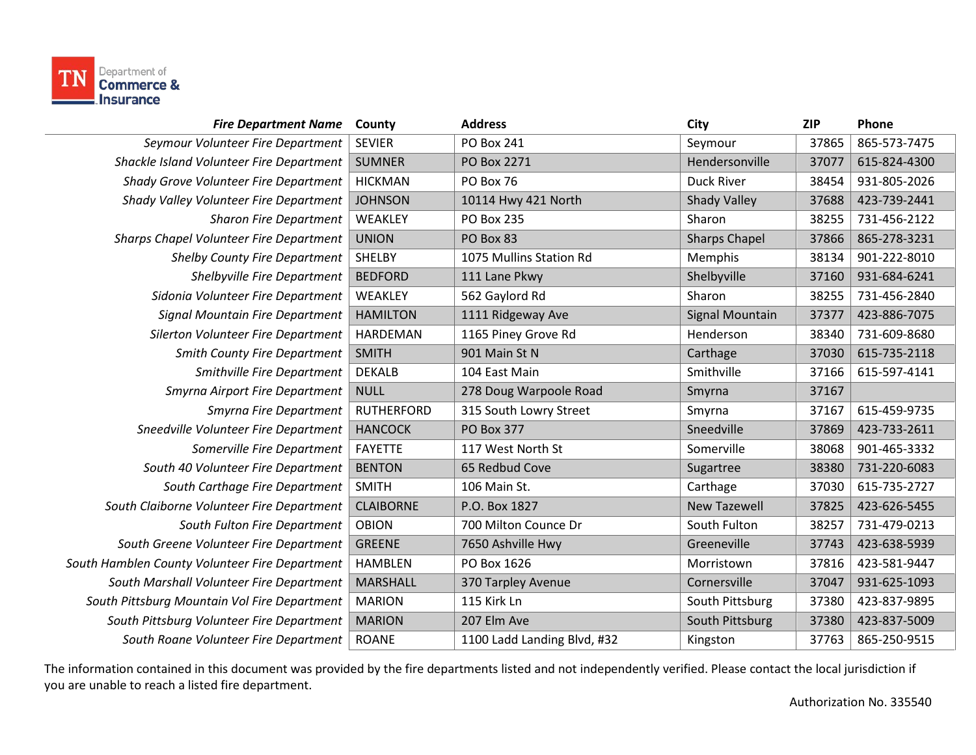

| <b>Fire Department Name</b>                    | County            | <b>Address</b>              | City                   | <b>ZIP</b> | Phone        |
|------------------------------------------------|-------------------|-----------------------------|------------------------|------------|--------------|
| Seymour Volunteer Fire Department              | <b>SEVIER</b>     | <b>PO Box 241</b>           | Seymour                | 37865      | 865-573-7475 |
| Shackle Island Volunteer Fire Department       | <b>SUMNER</b>     | PO Box 2271                 | Hendersonville         | 37077      | 615-824-4300 |
| Shady Grove Volunteer Fire Department          | <b>HICKMAN</b>    | PO Box 76                   | Duck River             | 38454      | 931-805-2026 |
| Shady Valley Volunteer Fire Department         | <b>JOHNSON</b>    | 10114 Hwy 421 North         | <b>Shady Valley</b>    | 37688      | 423-739-2441 |
| <b>Sharon Fire Department</b>                  | WEAKLEY           | PO Box 235                  | Sharon                 | 38255      | 731-456-2122 |
| <b>Sharps Chapel Volunteer Fire Department</b> | <b>UNION</b>      | PO Box 83                   | <b>Sharps Chapel</b>   | 37866      | 865-278-3231 |
| <b>Shelby County Fire Department</b>           | SHELBY            | 1075 Mullins Station Rd     | Memphis                | 38134      | 901-222-8010 |
| Shelbyville Fire Department                    | <b>BEDFORD</b>    | 111 Lane Pkwy               | Shelbyville            | 37160      | 931-684-6241 |
| Sidonia Volunteer Fire Department              | WEAKLEY           | 562 Gaylord Rd              | Sharon                 | 38255      | 731-456-2840 |
| Signal Mountain Fire Department                | <b>HAMILTON</b>   | 1111 Ridgeway Ave           | <b>Signal Mountain</b> | 37377      | 423-886-7075 |
| Silerton Volunteer Fire Department             | <b>HARDEMAN</b>   | 1165 Piney Grove Rd         | Henderson              | 38340      | 731-609-8680 |
| <b>Smith County Fire Department</b>            | <b>SMITH</b>      | 901 Main St N               | Carthage               | 37030      | 615-735-2118 |
| Smithville Fire Department                     | <b>DEKALB</b>     | 104 East Main               | Smithville             | 37166      | 615-597-4141 |
| Smyrna Airport Fire Department                 | <b>NULL</b>       | 278 Doug Warpoole Road      | Smyrna                 | 37167      |              |
| Smyrna Fire Department                         | <b>RUTHERFORD</b> | 315 South Lowry Street      | Smyrna                 | 37167      | 615-459-9735 |
| Sneedville Volunteer Fire Department           | <b>HANCOCK</b>    | <b>PO Box 377</b>           | Sneedville             | 37869      | 423-733-2611 |
| Somerville Fire Department                     | <b>FAYETTE</b>    | 117 West North St           | Somerville             | 38068      | 901-465-3332 |
| South 40 Volunteer Fire Department             | <b>BENTON</b>     | 65 Redbud Cove              | Sugartree              | 38380      | 731-220-6083 |
| South Carthage Fire Department                 | <b>SMITH</b>      | 106 Main St.                | Carthage               | 37030      | 615-735-2727 |
| South Claiborne Volunteer Fire Department      | <b>CLAIBORNE</b>  | P.O. Box 1827               | <b>New Tazewell</b>    | 37825      | 423-626-5455 |
| South Fulton Fire Department                   | <b>OBION</b>      | 700 Milton Counce Dr        | South Fulton           | 38257      | 731-479-0213 |
| South Greene Volunteer Fire Department         | <b>GREENE</b>     | 7650 Ashville Hwy           | Greeneville            | 37743      | 423-638-5939 |
| South Hamblen County Volunteer Fire Department | <b>HAMBLEN</b>    | PO Box 1626                 | Morristown             | 37816      | 423-581-9447 |
| South Marshall Volunteer Fire Department       | <b>MARSHALL</b>   | 370 Tarpley Avenue          | Cornersville           | 37047      | 931-625-1093 |
| South Pittsburg Mountain Vol Fire Department   | <b>MARION</b>     | 115 Kirk Ln                 | South Pittsburg        | 37380      | 423-837-9895 |
| South Pittsburg Volunteer Fire Department      | <b>MARION</b>     | 207 Elm Ave                 | South Pittsburg        | 37380      | 423-837-5009 |
| South Roane Volunteer Fire Department          | <b>ROANE</b>      | 1100 Ladd Landing Blvd, #32 | Kingston               | 37763      | 865-250-9515 |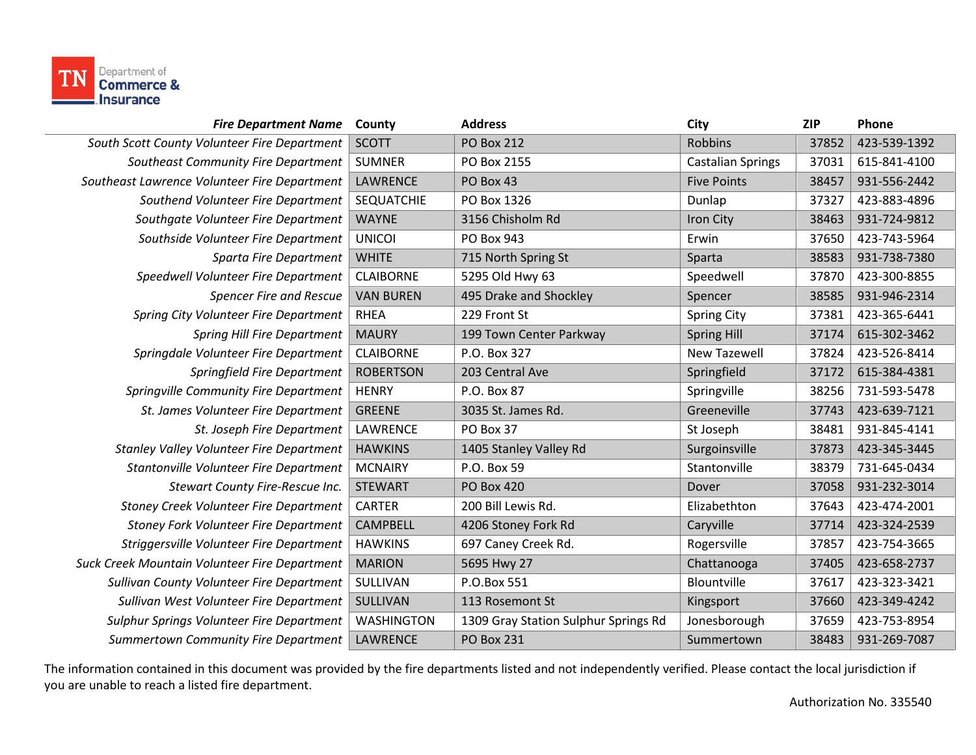

| <b>Fire Department Name</b>                     | County            | <b>Address</b>                       | City                     | <b>ZIP</b> | Phone        |
|-------------------------------------------------|-------------------|--------------------------------------|--------------------------|------------|--------------|
| South Scott County Volunteer Fire Department    | <b>SCOTT</b>      | <b>PO Box 212</b>                    | <b>Robbins</b>           | 37852      | 423-539-1392 |
| Southeast Community Fire Department             | <b>SUMNER</b>     | PO Box 2155                          | <b>Castalian Springs</b> | 37031      | 615-841-4100 |
| Southeast Lawrence Volunteer Fire Department    | LAWRENCE          | PO Box 43                            | <b>Five Points</b>       | 38457      | 931-556-2442 |
| Southend Volunteer Fire Department              | <b>SEQUATCHIE</b> | PO Box 1326                          | Dunlap                   | 37327      | 423-883-4896 |
| Southgate Volunteer Fire Department             | <b>WAYNE</b>      | 3156 Chisholm Rd                     | Iron City                | 38463      | 931-724-9812 |
| Southside Volunteer Fire Department             | <b>UNICOI</b>     | PO Box 943                           | Erwin                    | 37650      | 423-743-5964 |
| Sparta Fire Department                          | <b>WHITE</b>      | 715 North Spring St                  | Sparta                   | 38583      | 931-738-7380 |
| Speedwell Volunteer Fire Department             | <b>CLAIBORNE</b>  | 5295 Old Hwy 63                      | Speedwell                | 37870      | 423-300-8855 |
| <b>Spencer Fire and Rescue</b>                  | <b>VAN BUREN</b>  | 495 Drake and Shockley               | Spencer                  | 38585      | 931-946-2314 |
| Spring City Volunteer Fire Department           | <b>RHEA</b>       | 229 Front St                         | <b>Spring City</b>       | 37381      | 423-365-6441 |
| <b>Spring Hill Fire Department</b>              | <b>MAURY</b>      | 199 Town Center Parkway              | <b>Spring Hill</b>       | 37174      | 615-302-3462 |
| Springdale Volunteer Fire Department            | <b>CLAIBORNE</b>  | P.O. Box 327                         | <b>New Tazewell</b>      | 37824      | 423-526-8414 |
| Springfield Fire Department                     | <b>ROBERTSON</b>  | 203 Central Ave                      | Springfield              | 37172      | 615-384-4381 |
| Springville Community Fire Department           | <b>HENRY</b>      | P.O. Box 87                          | Springville              | 38256      | 731-593-5478 |
| St. James Volunteer Fire Department             | <b>GREENE</b>     | 3035 St. James Rd.                   | Greeneville              | 37743      | 423-639-7121 |
| St. Joseph Fire Department                      | LAWRENCE          | PO Box 37                            | St Joseph                | 38481      | 931-845-4141 |
| <b>Stanley Valley Volunteer Fire Department</b> | <b>HAWKINS</b>    | 1405 Stanley Valley Rd               | Surgoinsville            | 37873      | 423-345-3445 |
| Stantonville Volunteer Fire Department          | <b>MCNAIRY</b>    | P.O. Box 59                          | Stantonville             | 38379      | 731-645-0434 |
| Stewart County Fire-Rescue Inc.                 | <b>STEWART</b>    | <b>PO Box 420</b>                    | Dover                    | 37058      | 931-232-3014 |
| Stoney Creek Volunteer Fire Department          | <b>CARTER</b>     | 200 Bill Lewis Rd.                   | Elizabethton             | 37643      | 423-474-2001 |
| <b>Stoney Fork Volunteer Fire Department</b>    | <b>CAMPBELL</b>   | 4206 Stoney Fork Rd                  | Caryville                | 37714      | 423-324-2539 |
| Striggersville Volunteer Fire Department        | <b>HAWKINS</b>    | 697 Caney Creek Rd.                  | Rogersville              | 37857      | 423-754-3665 |
| Suck Creek Mountain Volunteer Fire Department   | <b>MARION</b>     | 5695 Hwy 27                          | Chattanooga              | 37405      | 423-658-2737 |
| Sullivan County Volunteer Fire Department       | SULLIVAN          | P.O.Box 551                          | Blountville              | 37617      | 423-323-3421 |
| Sullivan West Volunteer Fire Department         | SULLIVAN          | 113 Rosemont St                      | Kingsport                | 37660      | 423-349-4242 |
| Sulphur Springs Volunteer Fire Department       | <b>WASHINGTON</b> | 1309 Gray Station Sulphur Springs Rd | Jonesborough             | 37659      | 423-753-8954 |
| <b>Summertown Community Fire Department</b>     | LAWRENCE          | <b>PO Box 231</b>                    | Summertown               | 38483      | 931-269-7087 |
|                                                 |                   |                                      |                          |            |              |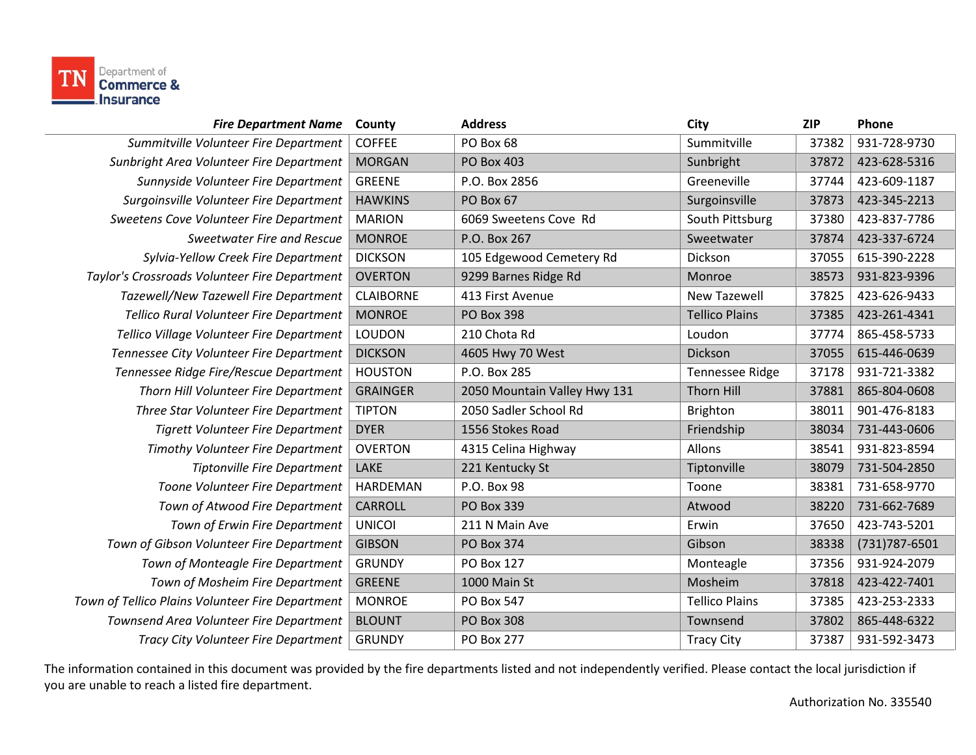

| <b>Fire Department Name</b>                      | County           | <b>Address</b>               | City                   | <b>ZIP</b> | Phone          |
|--------------------------------------------------|------------------|------------------------------|------------------------|------------|----------------|
| Summitville Volunteer Fire Department            | <b>COFFEE</b>    | PO Box 68                    | Summitville            | 37382      | 931-728-9730   |
| Sunbright Area Volunteer Fire Department         | <b>MORGAN</b>    | <b>PO Box 403</b>            | Sunbright              | 37872      | 423-628-5316   |
| Sunnyside Volunteer Fire Department              | <b>GREENE</b>    | P.O. Box 2856                | Greeneville            | 37744      | 423-609-1187   |
| Surgoinsville Volunteer Fire Department          | <b>HAWKINS</b>   | PO Box 67                    | Surgoinsville          | 37873      | 423-345-2213   |
| Sweetens Cove Volunteer Fire Department          | <b>MARION</b>    | 6069 Sweetens Cove Rd        | South Pittsburg        | 37380      | 423-837-7786   |
| Sweetwater Fire and Rescue                       | <b>MONROE</b>    | P.O. Box 267                 | Sweetwater             | 37874      | 423-337-6724   |
| Sylvia-Yellow Creek Fire Department              | <b>DICKSON</b>   | 105 Edgewood Cemetery Rd     | Dickson                | 37055      | 615-390-2228   |
| Taylor's Crossroads Volunteer Fire Department    | <b>OVERTON</b>   | 9299 Barnes Ridge Rd         | Monroe                 | 38573      | 931-823-9396   |
| Tazewell/New Tazewell Fire Department            | <b>CLAIBORNE</b> | 413 First Avenue             | <b>New Tazewell</b>    | 37825      | 423-626-9433   |
| Tellico Rural Volunteer Fire Department          | <b>MONROE</b>    | <b>PO Box 398</b>            | <b>Tellico Plains</b>  | 37385      | 423-261-4341   |
| Tellico Village Volunteer Fire Department        | LOUDON           | 210 Chota Rd                 | Loudon                 | 37774      | 865-458-5733   |
| Tennessee City Volunteer Fire Department         | <b>DICKSON</b>   | 4605 Hwy 70 West             | Dickson                | 37055      | 615-446-0639   |
| Tennessee Ridge Fire/Rescue Department           | <b>HOUSTON</b>   | P.O. Box 285                 | <b>Tennessee Ridge</b> | 37178      | 931-721-3382   |
| Thorn Hill Volunteer Fire Department             | <b>GRAINGER</b>  | 2050 Mountain Valley Hwy 131 | <b>Thorn Hill</b>      | 37881      | 865-804-0608   |
| Three Star Volunteer Fire Department             | <b>TIPTON</b>    | 2050 Sadler School Rd        | <b>Brighton</b>        | 38011      | 901-476-8183   |
| <b>Tigrett Volunteer Fire Department</b>         | <b>DYER</b>      | 1556 Stokes Road             | Friendship             | 38034      | 731-443-0606   |
| <b>Timothy Volunteer Fire Department</b>         | <b>OVERTON</b>   | 4315 Celina Highway          | <b>Allons</b>          | 38541      | 931-823-8594   |
| <b>Tiptonville Fire Department</b>               | <b>LAKE</b>      | 221 Kentucky St              | Tiptonville            | 38079      | 731-504-2850   |
| Toone Volunteer Fire Department                  | HARDEMAN         | P.O. Box 98                  | Toone                  | 38381      | 731-658-9770   |
| Town of Atwood Fire Department                   | <b>CARROLL</b>   | PO Box 339                   | Atwood                 | 38220      | 731-662-7689   |
| Town of Erwin Fire Department                    | <b>UNICOI</b>    | 211 N Main Ave               | Erwin                  | 37650      | 423-743-5201   |
| Town of Gibson Volunteer Fire Department         | <b>GIBSON</b>    | <b>PO Box 374</b>            | Gibson                 | 38338      | (731) 787-6501 |
| Town of Monteagle Fire Department                | <b>GRUNDY</b>    | PO Box 127                   | Monteagle              | 37356      | 931-924-2079   |
| Town of Mosheim Fire Department                  | <b>GREENE</b>    | 1000 Main St                 | Mosheim                | 37818      | 423-422-7401   |
| Town of Tellico Plains Volunteer Fire Department | <b>MONROE</b>    | <b>PO Box 547</b>            | <b>Tellico Plains</b>  | 37385      | 423-253-2333   |
| Townsend Area Volunteer Fire Department          | <b>BLOUNT</b>    | <b>PO Box 308</b>            | Townsend               | 37802      | 865-448-6322   |
| Tracy City Volunteer Fire Department             | <b>GRUNDY</b>    | <b>PO Box 277</b>            | <b>Tracy City</b>      | 37387      | 931-592-3473   |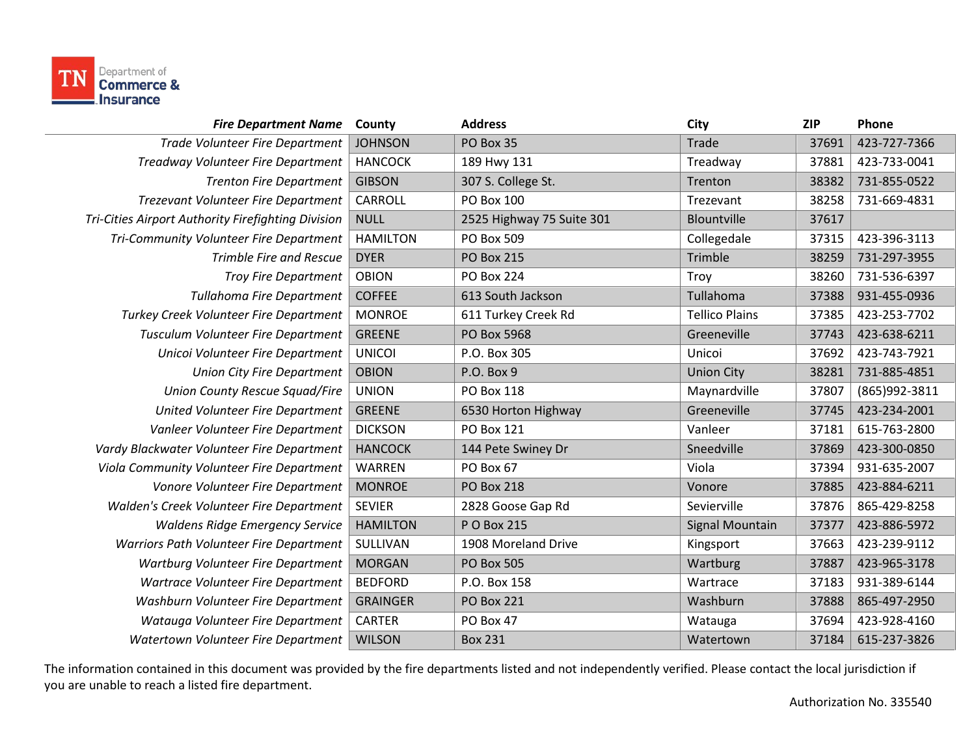

| <b>Fire Department Name</b>                        | County          | <b>Address</b>            | <b>City</b>            | <b>ZIP</b> | Phone         |
|----------------------------------------------------|-----------------|---------------------------|------------------------|------------|---------------|
| Trade Volunteer Fire Department                    | <b>JOHNSON</b>  | PO Box 35                 | Trade                  | 37691      | 423-727-7366  |
| Treadway Volunteer Fire Department                 | <b>HANCOCK</b>  | 189 Hwy 131               | Treadway               | 37881      | 423-733-0041  |
| <b>Trenton Fire Department</b>                     | <b>GIBSON</b>   | 307 S. College St.        | Trenton                | 38382      | 731-855-0522  |
| Trezevant Volunteer Fire Department                | CARROLL         | PO Box 100                | Trezevant              | 38258      | 731-669-4831  |
| Tri-Cities Airport Authority Firefighting Division | <b>NULL</b>     | 2525 Highway 75 Suite 301 | Blountville            | 37617      |               |
| Tri-Community Volunteer Fire Department            | <b>HAMILTON</b> | PO Box 509                | Collegedale            | 37315      | 423-396-3113  |
| <b>Trimble Fire and Rescue</b>                     | <b>DYER</b>     | <b>PO Box 215</b>         | Trimble                | 38259      | 731-297-3955  |
| <b>Troy Fire Department</b>                        | <b>OBION</b>    | <b>PO Box 224</b>         | Troy                   | 38260      | 731-536-6397  |
| <b>Tullahoma Fire Department</b>                   | <b>COFFEE</b>   | 613 South Jackson         | Tullahoma              | 37388      | 931-455-0936  |
| Turkey Creek Volunteer Fire Department             | <b>MONROE</b>   | 611 Turkey Creek Rd       | <b>Tellico Plains</b>  | 37385      | 423-253-7702  |
| Tusculum Volunteer Fire Department                 | <b>GREENE</b>   | PO Box 5968               | Greeneville            | 37743      | 423-638-6211  |
| Unicoi Volunteer Fire Department                   | <b>UNICOI</b>   | P.O. Box 305              | Unicoi                 | 37692      | 423-743-7921  |
| <b>Union City Fire Department</b>                  | <b>OBION</b>    | P.O. Box 9                | <b>Union City</b>      | 38281      | 731-885-4851  |
| <b>Union County Rescue Squad/Fire</b>              | <b>UNION</b>    | PO Box 118                | Maynardville           | 37807      | (865)992-3811 |
| United Volunteer Fire Department                   | <b>GREENE</b>   | 6530 Horton Highway       | Greeneville            | 37745      | 423-234-2001  |
| Vanleer Volunteer Fire Department                  | <b>DICKSON</b>  | PO Box 121                | Vanleer                | 37181      | 615-763-2800  |
| Vardy Blackwater Volunteer Fire Department         | <b>HANCOCK</b>  | 144 Pete Swiney Dr        | Sneedville             | 37869      | 423-300-0850  |
| Viola Community Volunteer Fire Department          | WARREN          | PO Box 67                 | Viola                  | 37394      | 931-635-2007  |
| Vonore Volunteer Fire Department                   | <b>MONROE</b>   | <b>PO Box 218</b>         | Vonore                 | 37885      | 423-884-6211  |
| Walden's Creek Volunteer Fire Department           | <b>SEVIER</b>   | 2828 Goose Gap Rd         | Sevierville            | 37876      | 865-429-8258  |
| <b>Waldens Ridge Emergency Service</b>             | <b>HAMILTON</b> | P O Box 215               | <b>Signal Mountain</b> | 37377      | 423-886-5972  |
| Warriors Path Volunteer Fire Department            | SULLIVAN        | 1908 Moreland Drive       | Kingsport              | 37663      | 423-239-9112  |
| Wartburg Volunteer Fire Department                 | <b>MORGAN</b>   | <b>PO Box 505</b>         | Wartburg               | 37887      | 423-965-3178  |
| Wartrace Volunteer Fire Department                 | <b>BEDFORD</b>  | P.O. Box 158              | Wartrace               | 37183      | 931-389-6144  |
| Washburn Volunteer Fire Department                 | <b>GRAINGER</b> | <b>PO Box 221</b>         | Washburn               | 37888      | 865-497-2950  |
| Watauga Volunteer Fire Department                  | <b>CARTER</b>   | PO Box 47                 | Watauga                | 37694      | 423-928-4160  |
| Watertown Volunteer Fire Department                | <b>WILSON</b>   | <b>Box 231</b>            | Watertown              | 37184      | 615-237-3826  |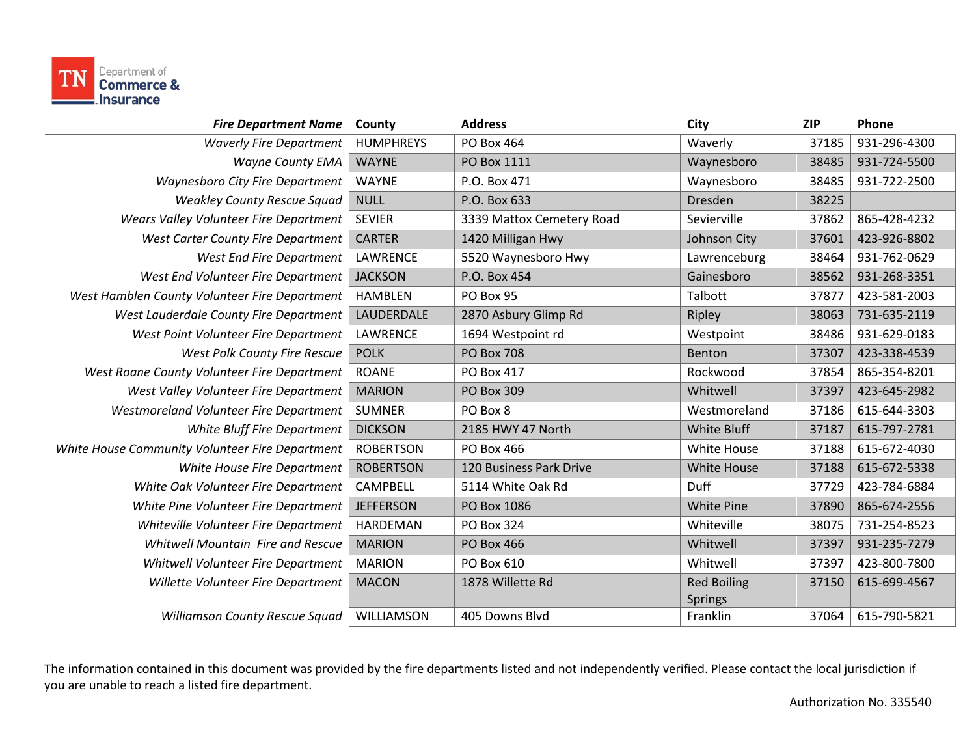

| <b>Fire Department Name</b>                     | County           | <b>Address</b>            | City               | <b>ZIP</b> | Phone        |
|-------------------------------------------------|------------------|---------------------------|--------------------|------------|--------------|
| <b>Waverly Fire Department</b>                  | <b>HUMPHREYS</b> | PO Box 464                | Waverly            | 37185      | 931-296-4300 |
| <b>Wayne County EMA</b>                         | <b>WAYNE</b>     | PO Box 1111               | Waynesboro         | 38485      | 931-724-5500 |
| Waynesboro City Fire Department                 | <b>WAYNE</b>     | P.O. Box 471              | Waynesboro         | 38485      | 931-722-2500 |
| <b>Weakley County Rescue Squad</b>              | <b>NULL</b>      | P.O. Box 633              | Dresden            | 38225      |              |
| Wears Valley Volunteer Fire Department          | <b>SEVIER</b>    | 3339 Mattox Cemetery Road | Sevierville        | 37862      | 865-428-4232 |
| West Carter County Fire Department              | <b>CARTER</b>    | 1420 Milligan Hwy         | Johnson City       | 37601      | 423-926-8802 |
| West End Fire Department                        | LAWRENCE         | 5520 Waynesboro Hwy       | Lawrenceburg       | 38464      | 931-762-0629 |
| West End Volunteer Fire Department              | <b>JACKSON</b>   | P.O. Box 454              | Gainesboro         | 38562      | 931-268-3351 |
| West Hamblen County Volunteer Fire Department   | <b>HAMBLEN</b>   | PO Box 95                 | Talbott            | 37877      | 423-581-2003 |
| West Lauderdale County Fire Department          | LAUDERDALE       | 2870 Asbury Glimp Rd      | Ripley             | 38063      | 731-635-2119 |
| West Point Volunteer Fire Department            | LAWRENCE         | 1694 Westpoint rd         | Westpoint          | 38486      | 931-629-0183 |
| West Polk County Fire Rescue                    | <b>POLK</b>      | <b>PO Box 708</b>         | Benton             | 37307      | 423-338-4539 |
| West Roane County Volunteer Fire Department     | <b>ROANE</b>     | <b>PO Box 417</b>         | Rockwood           | 37854      | 865-354-8201 |
| West Valley Volunteer Fire Department           | <b>MARION</b>    | <b>PO Box 309</b>         | Whitwell           | 37397      | 423-645-2982 |
| Westmoreland Volunteer Fire Department          | <b>SUMNER</b>    | PO Box 8                  | Westmoreland       | 37186      | 615-644-3303 |
| White Bluff Fire Department                     | <b>DICKSON</b>   | 2185 HWY 47 North         | <b>White Bluff</b> | 37187      | 615-797-2781 |
| White House Community Volunteer Fire Department | <b>ROBERTSON</b> | PO Box 466                | White House        | 37188      | 615-672-4030 |
| White House Fire Department                     | <b>ROBERTSON</b> | 120 Business Park Drive   | <b>White House</b> | 37188      | 615-672-5338 |
| White Oak Volunteer Fire Department             | <b>CAMPBELL</b>  | 5114 White Oak Rd         | <b>Duff</b>        | 37729      | 423-784-6884 |
| White Pine Volunteer Fire Department            | <b>JEFFERSON</b> | PO Box 1086               | <b>White Pine</b>  | 37890      | 865-674-2556 |
| Whiteville Volunteer Fire Department            | <b>HARDEMAN</b>  | <b>PO Box 324</b>         | Whiteville         | 38075      | 731-254-8523 |
| <b>Whitwell Mountain Fire and Rescue</b>        | <b>MARION</b>    | <b>PO Box 466</b>         | Whitwell           | 37397      | 931-235-7279 |
| Whitwell Volunteer Fire Department              | <b>MARION</b>    | PO Box 610                | Whitwell           | 37397      | 423-800-7800 |
| Willette Volunteer Fire Department              | <b>MACON</b>     | 1878 Willette Rd          | <b>Red Boiling</b> | 37150      | 615-699-4567 |
|                                                 |                  |                           | <b>Springs</b>     |            |              |
| Williamson County Rescue Squad                  | WILLIAMSON       | 405 Downs Blvd            | Franklin           | 37064      | 615-790-5821 |